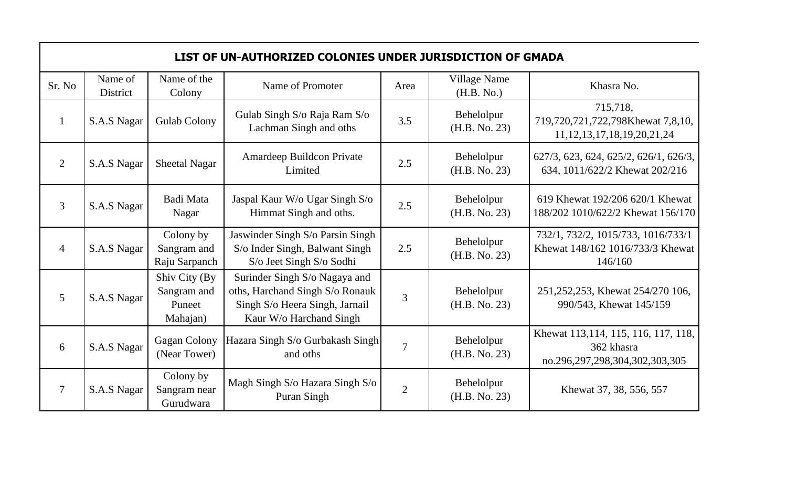|                | LIST OF UN-AUTHORIZED COLONIES UNDER JURISDICTION OF GMADA |                                                    |                                                                                                                               |                |                             |                                                                                     |  |  |
|----------------|------------------------------------------------------------|----------------------------------------------------|-------------------------------------------------------------------------------------------------------------------------------|----------------|-----------------------------|-------------------------------------------------------------------------------------|--|--|
| Sr. No         | Name of<br><b>District</b>                                 | Name of the<br>Colony                              | Name of Promoter                                                                                                              | Area           | Village Name<br>(H.B. No.)  | Khasra No.                                                                          |  |  |
| $\mathbf{1}$   | S.A.S Nagar                                                | <b>Gulab Colony</b>                                | Gulab Singh S/o Raja Ram S/o<br>Lachman Singh and oths                                                                        | 3.5            | Behelolpur<br>(H.B. No. 23) | 715,718,<br>719,720,721,722,798Khewat 7,8,10,<br>11, 12, 13, 17, 18, 19, 20, 21, 24 |  |  |
| $\overline{2}$ | S.A.S Nagar                                                | <b>Sheetal Nagar</b>                               | <b>Amardeep Buildcon Private</b><br>Limited                                                                                   | 2.5            | Behelolpur<br>(H.B. No. 23) | 627/3, 623, 624, 625/2, 626/1, 626/3,<br>634, 1011/622/2 Khewat 202/216             |  |  |
| 3              | S.A.S Nagar                                                | Badi Mata<br>Nagar                                 | Jaspal Kaur W/o Ugar Singh S/o<br>Himmat Singh and oths.                                                                      | 2.5            | Behelolpur<br>(H.B. No. 23) | 619 Khewat 192/206 620/1 Khewat<br>188/202 1010/622/2 Khewat 156/170                |  |  |
| $\overline{4}$ | S.A.S Nagar                                                | Colony by<br>Sangram and<br>Raju Sarpanch          | Jaswinder Singh S/o Parsin Singh<br>S/o Inder Singh, Balwant Singh<br>S/o Jeet Singh S/o Sodhi                                | 2.5            | Behelolpur<br>(H.B. No. 23) | 732/1, 732/2, 1015/733, 1016/733/1<br>Khewat 148/162 1016/733/3 Khewat<br>146/160   |  |  |
| $\overline{5}$ | S.A.S Nagar                                                | Shiv City (By<br>Sangram and<br>Puneet<br>Mahajan) | Surinder Singh S/o Nagaya and<br>oths, Harchand Singh S/o Ronauk<br>Singh S/o Heera Singh, Jarnail<br>Kaur W/o Harchand Singh | $\overline{3}$ | Behelolpur<br>(H.B. No. 23) | 251, 252, 253, Khewat 254/270 106,<br>990/543, Khewat 145/159                       |  |  |
| 6              | S.A.S Nagar                                                | <b>Gagan Colony</b><br>(Near Tower)                | Hazara Singh S/o Gurbakash Singh<br>and oths                                                                                  | $\overline{7}$ | Behelolpur<br>(H.B. No. 23) | Khewat 113,114, 115, 116, 117, 118,<br>362 khasra<br>no.296,297,298,304,302,303,305 |  |  |
| $\tau$         | S.A.S Nagar                                                | Colony by<br>Sangram near<br>Gurudwara             | Magh Singh S/o Hazara Singh S/o<br>Puran Singh                                                                                | $\overline{2}$ | Behelolpur<br>(H.B. No. 23) | Khewat 37, 38, 556, 557                                                             |  |  |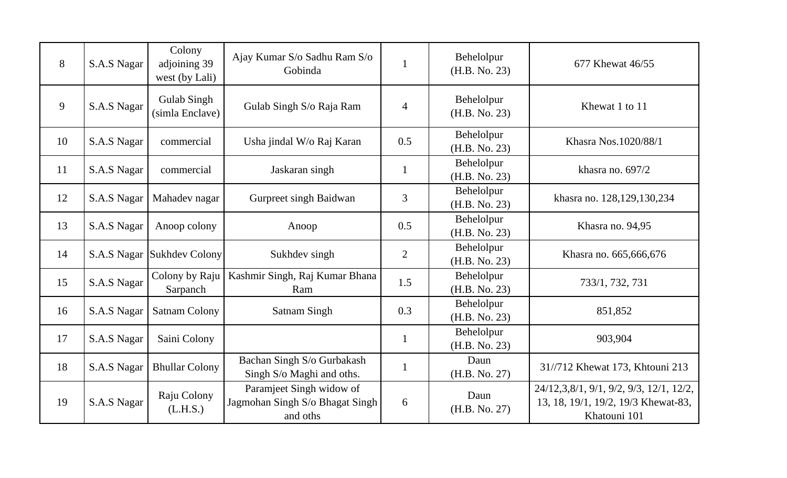| 8  | S.A.S Nagar | Colony<br>adjoining 39<br>west (by Lali) | Ajay Kumar S/o Sadhu Ram S/o<br>Gobinda                                 |                | Behelolpur<br>(H.B. No. 23) | 677 Khewat 46/55                                                                               |
|----|-------------|------------------------------------------|-------------------------------------------------------------------------|----------------|-----------------------------|------------------------------------------------------------------------------------------------|
| 9  | S.A.S Nagar | <b>Gulab Singh</b><br>(simla Enclave)    | Gulab Singh S/o Raja Ram                                                | $\overline{4}$ | Behelolpur<br>(H.B. No. 23) | Khewat 1 to 11                                                                                 |
| 10 | S.A.S Nagar | commercial                               | Usha jindal W/o Raj Karan                                               | 0.5            | Behelolpur<br>(H.B. No. 23) | Khasra Nos.1020/88/1                                                                           |
| 11 | S.A.S Nagar | commercial                               | Jaskaran singh                                                          | $\mathbf{1}$   | Behelolpur<br>(H.B. No. 23) | khasra no. $697/2$                                                                             |
| 12 | S.A.S Nagar | Mahadev nagar                            | Gurpreet singh Baidwan                                                  | $\overline{3}$ | Behelolpur<br>(H.B. No. 23) | khasra no. 128,129,130,234                                                                     |
| 13 | S.A.S Nagar | Anoop colony                             | Anoop                                                                   | 0.5            | Behelolpur<br>(H.B. No. 23) | Khasra no. 94,95                                                                               |
| 14 |             | S.A.S Nagar Sukhdev Colony               | Sukhdev singh                                                           | $\overline{2}$ | Behelolpur<br>(H.B. No. 23) | Khasra no. 665,666,676                                                                         |
| 15 | S.A.S Nagar | Colony by Raju<br>Sarpanch               | Kashmir Singh, Raj Kumar Bhana<br>Ram                                   | 1.5            | Behelolpur<br>(H.B. No. 23) | 733/1, 732, 731                                                                                |
| 16 | S.A.S Nagar | <b>Satnam Colony</b>                     | <b>Satnam Singh</b>                                                     | 0.3            | Behelolpur<br>(H.B. No. 23) | 851,852                                                                                        |
| 17 | S.A.S Nagar | Saini Colony                             |                                                                         | $\mathbf{1}$   | Behelolpur<br>(H.B. No. 23) | 903,904                                                                                        |
| 18 | S.A.S Nagar | <b>Bhullar Colony</b>                    | Bachan Singh S/o Gurbakash<br>Singh S/o Maghi and oths.                 | $\mathbf{1}$   | Daun<br>(H.B. No. 27)       | 31//712 Khewat 173, Khtouni 213                                                                |
| 19 | S.A.S Nagar | Raju Colony<br>(L.H.S.)                  | Paramjeet Singh widow of<br>Jagmohan Singh S/o Bhagat Singh<br>and oths | 6              | Daun<br>(H.B. No. 27)       | 24/12,3,8/1, 9/1, 9/2, 9/3, 12/1, 12/2,<br>13, 18, 19/1, 19/2, 19/3 Khewat-83,<br>Khatouni 101 |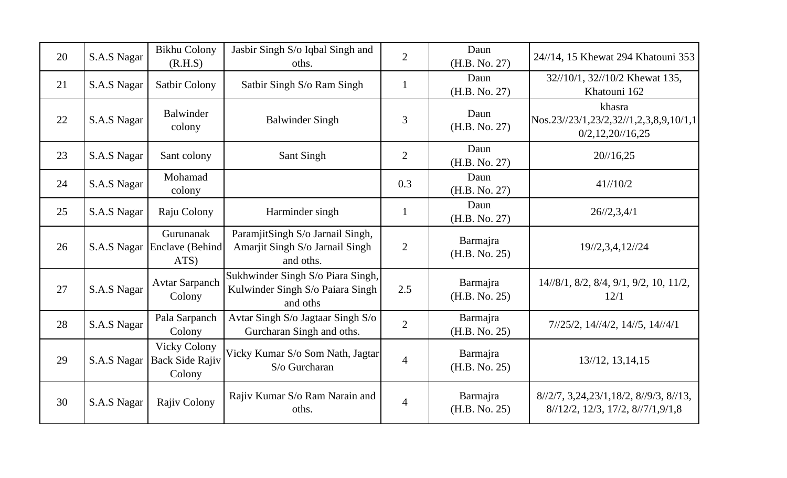| 20 | S.A.S Nagar | <b>Bikhu Colony</b><br>(R.H.S)                          | Jasbir Singh S/o Iqbal Singh and<br>oths.                                         | $\overline{2}$ | Daun<br>(H.B. No. 27)     | 24//14, 15 Khewat 294 Khatouni 353                                                      |
|----|-------------|---------------------------------------------------------|-----------------------------------------------------------------------------------|----------------|---------------------------|-----------------------------------------------------------------------------------------|
| 21 | S.A.S Nagar | <b>Satbir Colony</b>                                    | Satbir Singh S/o Ram Singh                                                        | $\mathbf{1}$   | Daun<br>(H.B. No. 27)     | 32//10/1, 32//10/2 Khewat 135,<br>Khatouni 162                                          |
| 22 | S.A.S Nagar | Balwinder<br>colony                                     | <b>Balwinder Singh</b>                                                            | 3              | Daun<br>(H.B. No. 27)     | khasra<br>Nos.23/23/1,23/2,32/1,2,3,8,9,10/1,1<br>$0/2$ , 12, 20//16, 25                |
| 23 | S.A.S Nagar | Sant colony                                             | Sant Singh                                                                        | $\overline{2}$ | Daun<br>(H.B. No. 27)     | 20/16,25                                                                                |
| 24 | S.A.S Nagar | Mohamad<br>colony                                       |                                                                                   | 0.3            | Daun<br>(H.B. No. 27)     | 41/10/2                                                                                 |
| 25 | S.A.S Nagar | Raju Colony                                             | Harminder singh                                                                   | $\mathbf{1}$   | Daun<br>(H.B. No. 27)     | 26/2,3,4/1                                                                              |
| 26 | S.A.S Nagar | Gurunanak<br>Enclave (Behind<br>ATS)                    | ParamjitSingh S/o Jarnail Singh,<br>Amarjit Singh S/o Jarnail Singh<br>and oths.  | $\overline{2}$ | Barmajra<br>(H.B. No. 25) | 19//2,3,4,12//24                                                                        |
| 27 | S.A.S Nagar | <b>Avtar Sarpanch</b><br>Colony                         | Sukhwinder Singh S/o Piara Singh,<br>Kulwinder Singh S/o Paiara Singh<br>and oths | 2.5            | Barmajra<br>(H.B. No. 25) | 14//8/1, 8/2, 8/4, 9/1, 9/2, 10, 11/2,<br>12/1                                          |
| 28 | S.A.S Nagar | Pala Sarpanch<br>Colony                                 | Avtar Singh S/o Jagtaar Singh S/o<br>Gurcharan Singh and oths.                    | $\overline{2}$ | Barmajra<br>(H.B. No. 25) | $7/25/2$ , $14/4/2$ , $14/5$ , $14/4/1$                                                 |
| 29 | S.A.S Nagar | <b>Vicky Colony</b><br><b>Back Side Rajiv</b><br>Colony | Vicky Kumar S/o Som Nath, Jagtar<br>S/o Gurcharan                                 | $\overline{4}$ | Barmajra<br>(H.B. No. 25) | $13/12$ , $13,14,15$                                                                    |
| 30 | S.A.S Nagar | Rajiv Colony                                            | Rajiv Kumar S/o Ram Narain and<br>oths.                                           | $\overline{4}$ | Barmajra<br>(H.B. No. 25) | $8/2/7$ , 3, 24, 23/1, 18/2, $8/9/3$ , $8/13$ ,<br>$8/12/2$ , 12/3, 17/2, $8/7/1,9/1,8$ |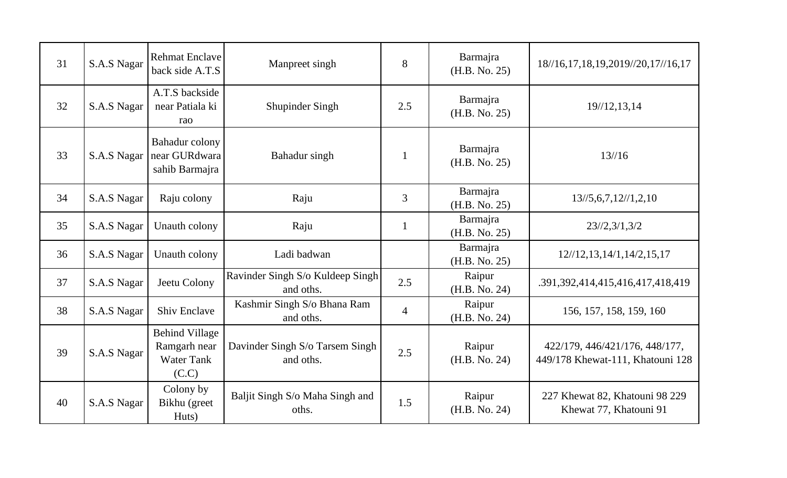| 31 | S.A.S Nagar | <b>Rehmat Enclave</b><br>back side A.T.S                            | Manpreet singh                                | 8              | Barmajra<br>(H.B. No. 25) | 18//16,17,18,19,2019//20,17//16,17                                 |
|----|-------------|---------------------------------------------------------------------|-----------------------------------------------|----------------|---------------------------|--------------------------------------------------------------------|
| 32 | S.A.S Nagar | A.T.S backside<br>near Patiala ki<br>rao                            | Shupinder Singh                               | 2.5            | Barmajra<br>(H.B. No. 25) | 19/12, 13, 14                                                      |
| 33 | S.A.S Nagar | <b>Bahadur</b> colony<br>near GURdwara<br>sahib Barmajra            | Bahadur singh                                 |                | Barmajra<br>(H.B. No. 25) | 13/16                                                              |
| 34 | S.A.S Nagar | Raju colony                                                         | Raju                                          | 3              | Barmajra<br>(H.B. No. 25) | 13/5, 6, 7, 12/1, 2, 10                                            |
| 35 | S.A.S Nagar | Unauth colony                                                       | Raju                                          | $\mathbf{1}$   | Barmajra<br>(H.B. No. 25) | 23/2,3/1,3/2                                                       |
| 36 | S.A.S Nagar | Unauth colony                                                       | Ladi badwan                                   |                | Barmajra<br>(H.B. No. 25) | 12/12, 13, 14/1, 14/2, 15, 17                                      |
| 37 | S.A.S Nagar | Jeetu Colony                                                        | Ravinder Singh S/o Kuldeep Singh<br>and oths. | 2.5            | Raipur<br>(H.B. No. 24)   | .391,392,414,415,416,417,418,419                                   |
| 38 | S.A.S Nagar | <b>Shiv Enclave</b>                                                 | Kashmir Singh S/o Bhana Ram<br>and oths.      | $\overline{4}$ | Raipur<br>(H.B. No. 24)   | 156, 157, 158, 159, 160                                            |
| 39 | S.A.S Nagar | <b>Behind Village</b><br>Ramgarh near<br><b>Water Tank</b><br>(C.C) | Davinder Singh S/o Tarsem Singh<br>and oths.  | 2.5            | Raipur<br>(H.B. No. 24)   | 422/179, 446/421/176, 448/177,<br>449/178 Khewat-111, Khatouni 128 |
| 40 | S.A.S Nagar | Colony by<br>Bikhu (greet<br>Huts)                                  | Baljit Singh S/o Maha Singh and<br>oths.      | 1.5            | Raipur<br>(H.B. No. 24)   | 227 Khewat 82, Khatouni 98 229<br>Khewat 77, Khatouni 91           |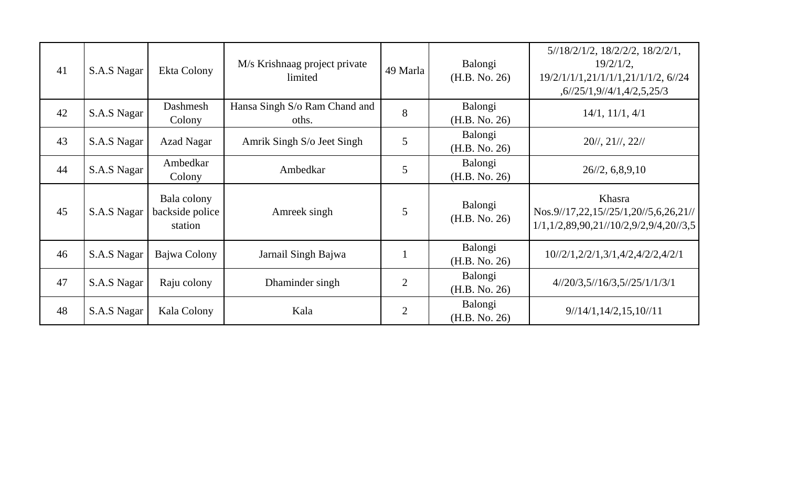| 41 | S.A.S Nagar | Ekta Colony                               | M/s Krishnaag project private<br>limited | 49 Marla       | Balongi<br>(H.B. No. 26) | $5/18/2/1/2$ , $18/2/2/2$ , $18/2/2/1$ ,<br>$19/2/1/2$ ,<br>19/2/1/1/1,21/1/1/1,21/1/1/2, 6//24<br>, 6/25/1, 9/4/1, 4/2, 5, 25/3 |
|----|-------------|-------------------------------------------|------------------------------------------|----------------|--------------------------|----------------------------------------------------------------------------------------------------------------------------------|
| 42 | S.A.S Nagar | Dashmesh<br>Colony                        | Hansa Singh S/o Ram Chand and<br>oths.   | 8              | Balongi<br>(H.B. No. 26) | 14/1, 11/1, 4/1                                                                                                                  |
| 43 | S.A.S Nagar | <b>Azad Nagar</b>                         | Amrik Singh S/o Jeet Singh               | 5              | Balongi<br>(H.B. No. 26) | $20\frac{\frac{1}{2}}{1}, 21\frac{\frac{1}{2}}{2}\frac{1}{1}$                                                                    |
| 44 | S.A.S Nagar | Ambedkar<br>Colony                        | Ambedkar                                 | 5              | Balongi<br>(H.B. No. 26) | 26/2, 6, 8, 9, 10                                                                                                                |
| 45 | S.A.S Nagar | Bala colony<br>backside police<br>station | Amreek singh                             | 5              | Balongi<br>(H.B. No. 26) | Khasra<br>Nos.9//17,22,15//25/1,20//5,6,26,21//<br>$1/1, 1/2, 89, 90, 21/10/2, 9/2, 9/4, 20/3, 5$                                |
| 46 | S.A.S Nagar | Bajwa Colony                              | Jarnail Singh Bajwa                      |                | Balongi<br>(H.B. No. 26) | $10\frac{1}{2}$ 1, $2\frac{2}{2}$ 1, $3\frac{1}{4}$ $4\frac{2}{4}$ $2\frac{4}{2}$ $4\frac{2}{2}$ 1                               |
| 47 | S.A.S Nagar | Raju colony                               | Dhaminder singh                          | $\overline{2}$ | Balongi<br>(H.B. No. 26) | $4\frac{1}{20}\frac{3}{5}\frac{1}{16}\frac{3}{3}\frac{5}{25}\frac{1}{25}\frac{1}{13}\frac{1}{3}$                                 |
| 48 | S.A.S Nagar | Kala Colony                               | Kala                                     | $\overline{2}$ | Balongi<br>(H.B. No. 26) | $9\frac{14}{1,14\frac{2,15,10}{11}$                                                                                              |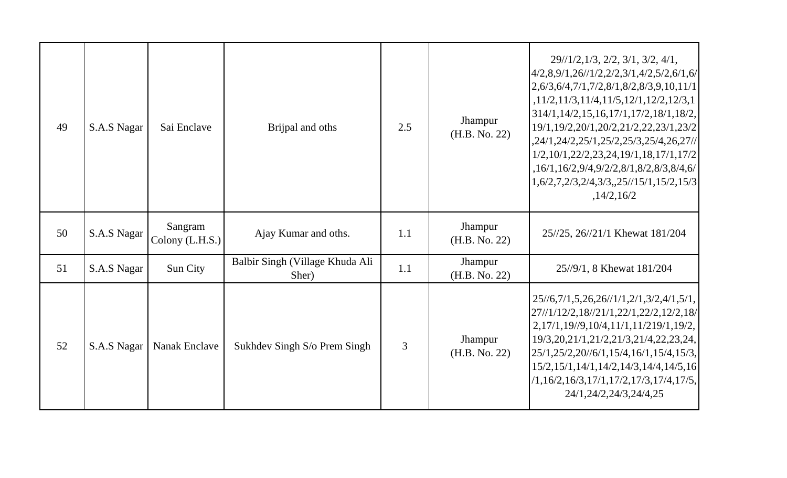| 49 | S.A.S Nagar | Sai Enclave                | Brijpal and oths                         | 2.5 | Jhampur<br>(H.B. No. 22) | $29\frac{1}{2}, 1\frac{3}{2}, 2\frac{2}{2}, 3\frac{1}{3}, 3\frac{2}{2}, 4\frac{1}{1}$<br>$\left[4/2,8,9/1,26\right]/1/2,2/2,3/1,4/2,5/2,6/1,6\right]$<br>$2,6/3,6/4,7/1,7/2,8/1,8/2,8/3,9,10,11/1$<br>,11/2,11/3,11/4,11/5,12/1,12/2,12/3,1<br>$314/1, 14/2, 15, 16, 17/1, 17/2, 18/1, 18/2,$<br>19/1, 19/2, 20/1, 20/2, 21/2, 22, 23/1, 23/2<br>,24/1,24/2,25/1,25/2,25/3,25/4,26,27//<br>$1/2, 10/1, 22/2, 23, 24, 19/1, 18, 17/1, 17/2$<br>,16/1,16/2,9/4,9/2/2,8/1,8/2,8/3,8/4,6/<br>$\left[1,6/2,7,2/3,2/4,3/3,,25/15/1,15/2,15/3\right]$<br>,14/2,16/2 |
|----|-------------|----------------------------|------------------------------------------|-----|--------------------------|--------------------------------------------------------------------------------------------------------------------------------------------------------------------------------------------------------------------------------------------------------------------------------------------------------------------------------------------------------------------------------------------------------------------------------------------------------------------------------------------------------------------------------------------------------------|
| 50 | S.A.S Nagar | Sangram<br>Colony (L.H.S.) | Ajay Kumar and oths.                     | 1.1 | Jhampur<br>(H.B. No. 22) | 25//25, 26//21/1 Khewat 181/204                                                                                                                                                                                                                                                                                                                                                                                                                                                                                                                              |
| 51 | S.A.S Nagar | Sun City                   | Balbir Singh (Village Khuda Ali<br>Sher) | 1.1 | Jhampur<br>(H.B. No. 22) | 25//9/1, 8 Khewat 181/204                                                                                                                                                                                                                                                                                                                                                                                                                                                                                                                                    |
| 52 | S.A.S Nagar | <b>Nanak Enclave</b>       | Sukhdev Singh S/o Prem Singh             | 3   | Jhampur<br>(H.B. No. 22) | $25\frac{1}{6}$ , 7/1, 5, 26, 26/ $\frac{1}{1}$ , 2/1, 3/2, 4/1, 5/1,<br>27//1/12/2,18//21/1,22/1,22/2,12/2,18/<br>2,17/1,19/9,10/4,11/1,11/219/1,19/2,<br>19/3, 20, 21/1, 21/2, 21/3, 21/4, 22, 23, 24,<br>$\left[ 25/1, 25/2, 20/6/1, 15/4, 16/1, 15/4, 15/3, \right]$<br>$15/2, 15/1, 14/1, 14/2, 14/3, 14/4, 14/5, 16$<br>$(1,16/2,16/3,17/1,17/2,17/3,17/4,17/5,$<br>24/1,24/2,24/3,24/4,25                                                                                                                                                             |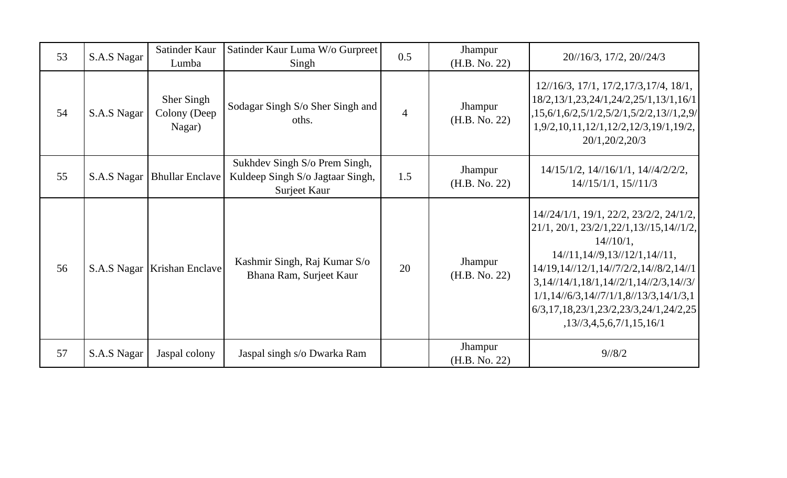| 53 | S.A.S Nagar | Satinder Kaur<br>Lumba               | Satinder Kaur Luma W/o Gurpreet<br>Singh                                          | 0.5            | Jhampur<br>(H.B. No. 22) | 20//16/3, 17/2, 20//24/3                                                                                                                                                                                                                                                                                                                                                                               |
|----|-------------|--------------------------------------|-----------------------------------------------------------------------------------|----------------|--------------------------|--------------------------------------------------------------------------------------------------------------------------------------------------------------------------------------------------------------------------------------------------------------------------------------------------------------------------------------------------------------------------------------------------------|
| 54 | S.A.S Nagar | Sher Singh<br>Colony (Deep<br>Nagar) | Sodagar Singh S/o Sher Singh and<br>oths.                                         | $\overline{4}$ | Jhampur<br>(H.B. No. 22) | $12\frac{1}{6}3$ , $17\frac{1}{1}$ , $17\frac{2}{17}3$ , $17\frac{4}{3}$ , $18\frac{1}{1}$ ,<br>18/2, 13/1, 23, 24/1, 24/2, 25/1, 13/1, 16/1<br>,15,6/1,6/2,5/1/2,5/2/1,5/2/2,13//1,2,9/<br>1,9/2,10,11,12/1,12/2,12/3,19/1,19/2,<br>20/1, 20/2, 20/3                                                                                                                                                  |
| 55 | S.A.S Nagar | <b>Bhullar Enclave</b>               | Sukhdev Singh S/o Prem Singh,<br>Kuldeep Singh S/o Jagtaar Singh,<br>Surjeet Kaur | 1.5            | Jhampur<br>(H.B. No. 22) | $14/15/1/2$ , $14/16/1/1$ , $14/14/2/2/2$ ,<br>$14/\frac{15}{11}$ , $15/\frac{11}{3}$                                                                                                                                                                                                                                                                                                                  |
| 56 | S.A.S Nagar | Krishan Enclave                      | Kashmir Singh, Raj Kumar S/o<br>Bhana Ram, Surjeet Kaur                           | 20             | Jhampur<br>(H.B. No. 22) | 14//24/1/1, 19/1, 22/2, 23/2/2, 24/1/2,<br>$21/1, 20/1, 23/2/1, 22/1, 13/15, 14/1/2,$<br>$14/\frac{10}{1}$ ,<br>$14/\frac{11}{14}/9$ , $13/\frac{12}{14}$ , $14/\frac{11}{14}$<br>14/19, 14//12/1, 14//7/2/2, 14//8/2, 14//1<br>$3,14$ //14/1,18/1,14//2/1,14//2/3,14//3/<br>$1/1, 14/6/3, 14/7/1/1, 8/13/3, 14/1/3, 1$<br>$6/3, 17, 18, 23/1, 23/2, 23/3, 24/1, 24/2, 25$<br>,13/73,4,5,6,7/1,15,16/1 |
| 57 | S.A.S Nagar | Jaspal colony                        | Jaspal singh s/o Dwarka Ram                                                       |                | Jhampur<br>(H.B. No. 22) | $9^{1/8/2}$                                                                                                                                                                                                                                                                                                                                                                                            |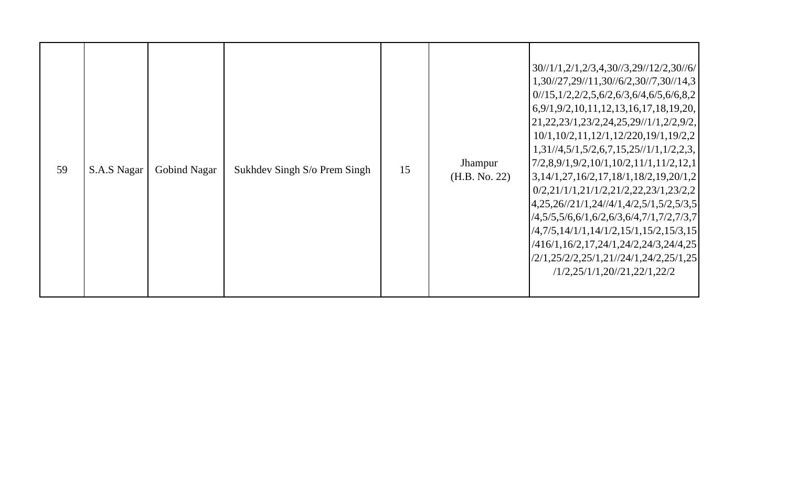| 59 | S.A.S Nagar | <b>Gobind Nagar</b> | Sukhdev Singh S/o Prem Singh | 15 | <b>Jhampur</b><br>(H.B. No. 22) | 30//1/1,2/1,2/3,4,30//3,29//12/2,30//6/<br>1,30/27,29/11,30/6/2,30/7,30/14,3<br>$0/15, 1/2, 2/2, 5, 6/2, 6/3, 6/4, 6/5, 6/6, 8, 2$<br>6,9/1,9/2,10,11,12,13,16,17,18,19,20,<br>21,22,23/1,23/2,24,25,29/1/1,2/2,9/2,<br>$10/1, 10/2, 11, 12/1, 12/220, 19/1, 19/2, 2$<br>$1,31/\sqrt{4},5/1,5/2,6,7,15,25/\sqrt{11},1/2,2,3,$<br>$7/2,8,9/1,9/2,10/1,10/2,11/1,11/2,12,1$<br>$\left[3,14/1,27,16/2,17,18/1,18/2,19,20/1,2\right]$<br>$0/2$ , $21/1/1$ , $21/1/2$ , $21/2$ , $22$ , $23/1$ , $23/2$ , $2$<br>$\left[4,25,26\frac{1}{21},24\frac{1}{4},1,4\frac{2}{5},1,5\frac{2}{5},3,5\right]$<br>$(4,5/5,5/6,6/1,6/2,6/3,6/4,7/1,7/2,7/3,7)$<br>$(4,7/5,14/1/1,14/1/2,15/1,15/2,15/3,15)$<br>$/416/1, 16/2, 17, 24/1, 24/2, 24/3, 24/4, 25$<br>/2/1,25/2/2,25/1,21//24/1,24/2,25/1,25<br>/1/2,25/1/1,20/21,22/1,22/2 |
|----|-------------|---------------------|------------------------------|----|---------------------------------|-----------------------------------------------------------------------------------------------------------------------------------------------------------------------------------------------------------------------------------------------------------------------------------------------------------------------------------------------------------------------------------------------------------------------------------------------------------------------------------------------------------------------------------------------------------------------------------------------------------------------------------------------------------------------------------------------------------------------------------------------------------------------------------------------------------------------|
|----|-------------|---------------------|------------------------------|----|---------------------------------|-----------------------------------------------------------------------------------------------------------------------------------------------------------------------------------------------------------------------------------------------------------------------------------------------------------------------------------------------------------------------------------------------------------------------------------------------------------------------------------------------------------------------------------------------------------------------------------------------------------------------------------------------------------------------------------------------------------------------------------------------------------------------------------------------------------------------|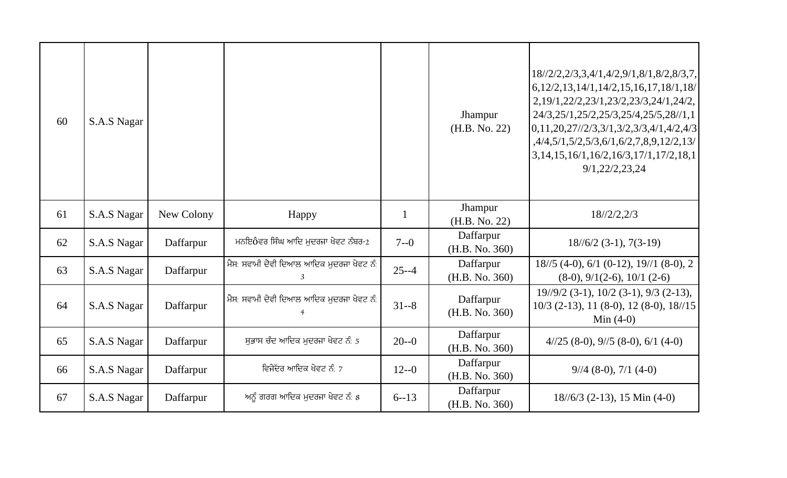| 60 | S.A.S Nagar |            |                                           |              | Jhampur<br>(H.B. No. 22)    | 18//2/2,2/3,3,4/1,4/2,9/1,8/1,8/2,8/3,7,<br>$6, 12/2, 13, 14/1, 14/2, 15, 16, 17, 18/1, 18/$<br>2, 19/1, 22/2, 23/1, 23/2, 23/3, 24/1, 24/2,<br>24/3,25/1,25/2,25/3,25/4,25/5,28//1,1<br>$[0,11,20,27$ //2/3,3/1,3/2,3/3,4/1,4/2,4/3<br>,4/4,5/1,5/2,5/3,6/1,6/2,7,8,9,12/2,13/<br>3,14,15,16/1,16/2,16/3,17/1,17/2,18,1<br>9/1,22/2,23,24 |
|----|-------------|------------|-------------------------------------------|--------------|-----------------------------|--------------------------------------------------------------------------------------------------------------------------------------------------------------------------------------------------------------------------------------------------------------------------------------------------------------------------------------------|
| 61 | S.A.S Nagar | New Colony | Happy                                     | $\mathbf{1}$ | Jhampur<br>(H.B. No. 22)    | 18/2/2,2/3                                                                                                                                                                                                                                                                                                                                 |
| 62 | S.A.S Nagar | Daffarpur  | ਮਨਇôਵਰ ਸਿੰਘ ਆਦਿ ਮੁਦਰਜਾ ਖੇਵਟ ਨੰਬਰ-2        | $7 - 0$      | Daffarpur<br>(H.B. No. 360) | $18/6/2$ (3-1), 7(3-19)                                                                                                                                                                                                                                                                                                                    |
| 63 | S.A.S Nagar | Daffarpur  | ਮੈਸ: ਸਵਾਮੀ ਦੇਵੀ ਦਿਆਲ ਆਦਿਕ ਮੁਦਰਜਾ ਖੇਵਟ ਨੰ: | $25 - -4$    | Daffarpur<br>(H.B. No. 360) | $18/5$ (4-0), 6/1 (0-12), 19//1 (8-0), 2<br>$(8-0), 9/1(2-6), 10/1 (2-6)$                                                                                                                                                                                                                                                                  |
| 64 | S.A.S Nagar | Daffarpur  | ਮੈਸ: ਸਵਾਮੀ ਦੇਵੀ ਦਿਆਲ ਆਦਿਕ ਮੁਦਰਜਾ ਖੇਵਟ ਨੰ: | $31 - 8$     | Daffarpur<br>(H.B. No. 360) | $19\frac{1}{9}\left(2 \cdot 1\right), 10\left(2 \cdot 3\right), 9\left(3 \cdot 2\right),$<br>$10/3$ (2-13), 11 (8-0), 12 (8-0), 18//15<br>Min $(4-0)$                                                                                                                                                                                      |
| 65 | S.A.S Nagar | Daffarpur  | ਸਭਾਸ ਚੰਦ ਆਦਿਕ ਮਦਰਜਾ ਖੇਵਟ ਨੰ: 5            | $20 - 0$     | Daffarpur<br>(H.B. No. 360) | $4/25$ (8-0), $9/5$ (8-0), $6/1$ (4-0)                                                                                                                                                                                                                                                                                                     |
| 66 | S.A.S Nagar | Daffarpur  | ਵਿਜੇੱਦਰ ਆਦਿਕ ਖੇਵਟ ਨੰ: 7                   | $12 - -0$    | Daffarpur<br>(H.B. No. 360) | $9/4$ (8-0), 7/1 (4-0)                                                                                                                                                                                                                                                                                                                     |
| 67 | S.A.S Nagar | Daffarpur  | ਅਨੂੰ ਗਰਗ ਆਦਿਕ ਮਦਰਜਾ ਖੇਵਟ ਨੰ: 8            | $6 - 13$     | Daffarpur<br>(H.B. No. 360) | $18/6/3$ (2-13), 15 Min (4-0)                                                                                                                                                                                                                                                                                                              |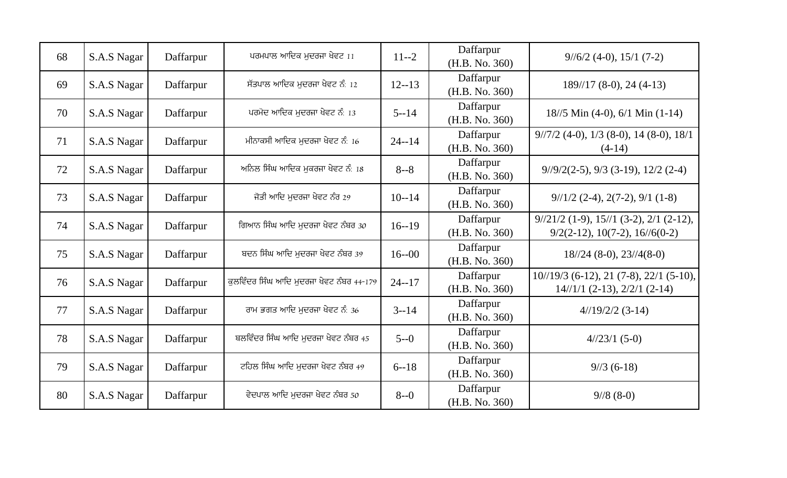| 68 | S.A.S Nagar | Daffarpur | ਪਰਮਪਾਲ ਆਦਿਕ ਮੁਦਰਜਾ ਖੇਵਟ 11               | $11 - 2$  | Daffarpur<br>(H.B. No. 360) | $9\frac{1}{6}\cdot 2(4-0), 15\cdot 1(7-2)$                                                        |
|----|-------------|-----------|------------------------------------------|-----------|-----------------------------|---------------------------------------------------------------------------------------------------|
| 69 | S.A.S Nagar | Daffarpur | ਸੱਤਪਾਲ ਆਦਿਕ ਮਦਰਜਾ ਖੇਵਟ ਨੰ: 12            | $12 - 13$ | Daffarpur<br>(H.B. No. 360) | $189/17$ (8-0), 24 (4-13)                                                                         |
| 70 | S.A.S Nagar | Daffarpur | ਪਰਮੋਦ ਆਦਿਕ ਮਦਰਜਾ ਖੇਵਟ ਨੰ: 13             | $5 - 14$  | Daffarpur<br>(H.B. No. 360) | $18/5$ Min (4-0), 6/1 Min (1-14)                                                                  |
| 71 | S.A.S Nagar | Daffarpur | ਮੀਨਾਕਸੀ ਆਦਿਕ ਮਦਰਜਾ ਖੇਵਟ ਨੰ: 16           | $24 - 14$ | Daffarpur<br>(H.B. No. 360) | $9/7/2$ (4-0), $1/3$ (8-0), 14 (8-0), 18/1<br>$(4-14)$                                            |
| 72 | S.A.S Nagar | Daffarpur | ਅਨਿਲ ਸਿੰਘ ਆਦਿਕ ਮਕਰਜਾ ਖੇਵਟ ਨੰ: 18         | $8 - 8$   | Daffarpur<br>(H.B. No. 360) | $9/9/2(2-5)$ , $9/3$ (3-19), 12/2 (2-4)                                                           |
| 73 | S.A.S Nagar | Daffarpur | ਜੋਤੀ ਆਦਿ ਮਦਰਜਾ ਖੇਵਟ ਨੰਰ 29               | $10 - 14$ | Daffarpur<br>(H.B. No. 360) | $9/1/2$ (2-4), 2(7-2), 9/1 (1-8)                                                                  |
| 74 | S.A.S Nagar | Daffarpur | ਗਿਆਨ ਸਿੰਘ ਆਦਿ ਮਦਰਜਾ ਖੇਵਟ ਨੰਬਰ 30         | $16 - 19$ | Daffarpur<br>(H.B. No. 360) | $9\frac{1}{21}{2}$ (1-9), 15/ $\frac{1}{3}$ (3-2), 2/1 (2-12),<br>$9/2(2-12), 10(7-2), 16/6(0-2)$ |
| 75 | S.A.S Nagar | Daffarpur | ਬਦਨ ਸਿੰਘ ਆਦਿ ਮਦਰਜਾ ਖੇਵਟ ਨੰਬਰ 39          | $16 - 00$ | Daffarpur<br>(H.B. No. 360) | $18/24$ (8-0), $23/4(8-0)$                                                                        |
| 76 | S.A.S Nagar | Daffarpur | ਕਲਵਿੰਦਰ ਸਿੰਘ ਆਦਿ ਮੁਦਰਜਾ ਖੇਵਟ ਨੰਬਰ 44-179 | $24 - 17$ | Daffarpur<br>(H.B. No. 360) | $10^{1/19/3}$ (6-12), 21 (7-8), 22/1 (5-10),<br>$14//1/1 (2-13), 2/2/1 (2-14)$                    |
| 77 | S.A.S Nagar | Daffarpur | ਰਾਮ ਭਗਤ ਆਦਿ ਮਦਰਜਾ ਖੇਵਟ ਨੰ: 36            | $3 - 14$  | Daffarpur<br>(H.B. No. 360) | $4/19/2/2$ (3-14)                                                                                 |
| 78 | S.A.S Nagar | Daffarpur | ਬਲਵਿੰਦਰ ਸਿੰਘ ਆਦਿ ਮੁਦਰਜਾ ਖੇਵਟ ਨੰਬਰ 45     | $5 - 0$   | Daffarpur<br>(H.B. No. 360) | $4/23/1$ (5-0)                                                                                    |
| 79 | S.A.S Nagar | Daffarpur | ਟਹਿਲ ਸਿੰਘ ਆਦਿ ਮਦਰਜਾ ਖੇਵਟ ਨੰਬਰ 49         | $6 - 18$  | Daffarpur<br>(H.B. No. 360) | $9/3(6-18)$                                                                                       |
| 80 | S.A.S Nagar | Daffarpur | ਵੇਦਪਾਲ ਆਦਿ ਮਦਰਜਾ ਖੇਵਟ ਨੰਬਰ 50            | $8 - 0$   | Daffarpur<br>(H.B. No. 360) | $9/8(8-0)$                                                                                        |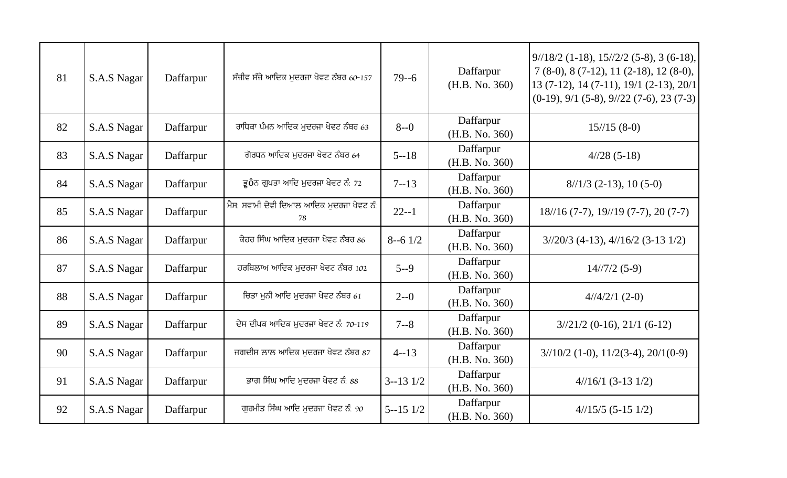| 81 | S.A.S Nagar | Daffarpur | ਸੰਜੀਵ ਸੰਜੇ ਆਦਿਕ ਮੁਦਰਜਾ ਖੇਵਟ ਨੰਬਰ 60-157         | $79 - 6$       | Daffarpur<br>(H.B. No. 360) | $9/18/2$ (1-18), $15/2/2$ (5-8), 3 (6-18),<br>$7(8-0), 8(7-12), 11(2-18), 12(8-0),$<br>$13(7-12), 14(7-11), 19/1(2-13), 20/1$<br>$(0-19)$ , 9/1 (5-8), 9//22 (7-6), 23 (7-3) |
|----|-------------|-----------|-------------------------------------------------|----------------|-----------------------------|------------------------------------------------------------------------------------------------------------------------------------------------------------------------------|
| 82 | S.A.S Nagar | Daffarpur | ਰਾਧਿਕਾ ਪੰਮਨ ਆਦਿਕ ਮਦਰਜਾ ਖੇਵਟ ਨੰਬਰ 63             | $8 - 0$        | Daffarpur<br>(H.B. No. 360) | $15/15(8-0)$                                                                                                                                                                 |
| 83 | S.A.S Nagar | Daffarpur | ਗੋਰਧਨ ਆਦਿਕ ਮਦਰਜਾ ਖੇਵਟ ਨੰਬਰ 64                   | $5 - 18$       | Daffarpur<br>(H.B. No. 360) | $4/28$ (5-18)                                                                                                                                                                |
| 84 | S.A.S Nagar | Daffarpur | ਭੂ0ੇਨ ਗੁਪਤਾ ਆਦਿ ਮੁਦਰਜਾ ਖੇਵਟ ਨੰ: 72              | $7 - 13$       | Daffarpur<br>(H.B. No. 360) | $8/1/3$ (2-13), 10 (5-0)                                                                                                                                                     |
| 85 | S.A.S Nagar | Daffarpur | ਮੈਸ: ਸਵਾਮੀ ਦੇਵੀ ਦਿਆਲ ਆਦਿਕ ਮੁਦਰਜਾ ਖੇਵਟ ਨੰ:<br>78 | $22 - 1$       | Daffarpur<br>(H.B. No. 360) | $18/16$ (7-7), $19/19$ (7-7), 20 (7-7)                                                                                                                                       |
| 86 | S.A.S Nagar | Daffarpur | ਕੇਹਰ ਸਿੰਘ ਆਦਿਕ ਮੁਦਰਜਾ ਖੇਵਟ ਨੰਬਰ 86              | $8 - 6$ 1/2    | Daffarpur<br>(H.B. No. 360) | $3/20/3$ (4-13), $4/16/2$ (3-13 1/2)                                                                                                                                         |
| 87 | S.A.S Nagar | Daffarpur | ਹਰਬਿਲਾਅ ਆਦਿਕ ਮਦਰਜਾ ਖੇਵਟ ਨੰਬਰ 102                | $5 - -9$       | Daffarpur<br>(H.B. No. 360) | $14/\frac{7}{2}$ (5-9)                                                                                                                                                       |
| 88 | S.A.S Nagar | Daffarpur | ਚਿਤਾ ਮਨੀ ਆਦਿ ਮਦਰਜਾ ਖੇਵਟ ਨੰਬਰ 61                 | $2 - 0$        | Daffarpur<br>(H.B. No. 360) | $4/4/2/1$ (2-0)                                                                                                                                                              |
| 89 | S.A.S Nagar | Daffarpur | ਦੇਸ ਦੀਪਕ ਆਦਿਕ ਮਦਰਜਾ ਖੇਵਟ ਨੰ: 70-119             | $7 - 8$        | Daffarpur<br>(H.B. No. 360) | $3/21/2$ (0-16), 21/1 (6-12)                                                                                                                                                 |
| 90 | S.A.S Nagar | Daffarpur | ਜਗਦੀਸ ਲਾਲ ਆਦਿਕ ਮੁਦਰਜਾ ਖੇਵਟ ਨੰਬਰ 87              | $4 - 13$       | Daffarpur<br>(H.B. No. 360) | $3/10/2$ (1-0), $11/2(3-4)$ , $20/1(0-9)$                                                                                                                                    |
| 91 | S.A.S Nagar | Daffarpur | ਭਾਗ ਸਿੰਘ ਆਦਿ ਮੁਦਰਜਾ ਖੇਵਟ ਨੰ: 88                 | $3 - 13$ $1/2$ | Daffarpur<br>(H.B. No. 360) | $4/16/1$ (3-13 1/2)                                                                                                                                                          |
| 92 | S.A.S Nagar | Daffarpur | ਗਰਮੀਤ ਸਿੰਘ ਆਦਿ ਮਦਰਜਾ ਖੇਵਟ ਨੰ: 90                | $5 - 15$ $1/2$ | Daffarpur<br>(H.B. No. 360) | $4/15/5$ (5-15 1/2)                                                                                                                                                          |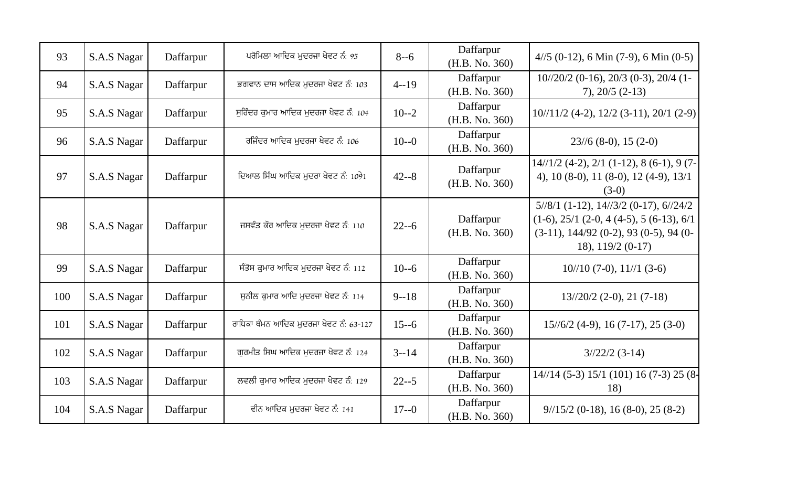| 93  | S.A.S Nagar | Daffarpur | ਪਰੋਮਿਲਾ ਆਦਿਕ ਮੁਦਰਜਾ ਖੇਵਟ ਨੰ: 95        | $8 - 6$  | Daffarpur<br>(H.B. No. 360) | $4/5$ (0-12), 6 Min (7-9), 6 Min (0-5)                                                                                                                      |
|-----|-------------|-----------|----------------------------------------|----------|-----------------------------|-------------------------------------------------------------------------------------------------------------------------------------------------------------|
| 94  | S.A.S Nagar | Daffarpur | ਭਗਵਾਨ ਦਾਸ ਆਦਿਕ ਮਦਰਜਾ ਖੇਵਟ ਨੰ: 103      | $4 - 19$ | Daffarpur<br>(H.B. No. 360) | $10^{1/20/2}$ (0-16), 20/3 (0-3), 20/4 (1-<br>$7)$ , 20/5 (2-13)                                                                                            |
| 95  | S.A.S Nagar | Daffarpur | ਸਰਿੰਦਰ ਕਮਾਰ ਆਦਿਕ ਮਦਰਜਾ ਖੇਵਟ ਨੰ: 104    | $10 - 2$ | Daffarpur<br>(H.B. No. 360) | 10//11/2 (4-2), 12/2 (3-11), 20/1 (2-9)                                                                                                                     |
| 96  | S.A.S Nagar | Daffarpur | ਰਜਿੰਦਰ ਆਦਿਕ ਮਦਰਜਾ ਖੇਵਟ ਨੰ: 106         | $10 - 0$ | Daffarpur<br>(H.B. No. 360) | $23/6$ (8-0), 15 (2-0)                                                                                                                                      |
| 97  | S.A.S Nagar | Daffarpur | ਦਿਆਲ ਸਿੰਘ ਆਦਿਕ ਮਦਰਾ ਖੇਵਟ ਨੰ: 1091      | $42 - 8$ | Daffarpur<br>(H.B. No. 360) | $14//1/2$ (4-2), $2/1$ (1-12), 8 (6-1), 9 (7-<br>4), 10 (8-0), 11 (8-0), 12 (4-9), 13/1<br>$(3-0)$                                                          |
| 98  | S.A.S Nagar | Daffarpur | ਜਸਵੰਤ ਕੌਰ ਆਦਿਕ ਮਦਰਜਾ ਖੇਵਟ ਨੰ: 110      | $22 - 6$ | Daffarpur<br>(H.B. No. 360) | $5/8/1$ (1-12), $14/3/2$ (0-17), $6/24/2$<br>$(1-6), 25/1$ $(2-0, 4(4-5), 5(6-13), 6/1)$<br>$(3-11), 144/92$ (0-2), 93 (0-5), 94 (0-<br>18), $119/2$ (0-17) |
| 99  | S.A.S Nagar | Daffarpur | ਸੰਤੋਸ ਕੁਮਾਰ ਆਦਿਕ ਮੁਦਰਜਾ ਖੇਵਟ ਨੰ: 112   | $10 - 6$ | Daffarpur<br>(H.B. No. 360) | $10/10$ (7-0), $11/1$ (3-6)                                                                                                                                 |
| 100 | S.A.S Nagar | Daffarpur | ਸਨੀਲ ਕਮਾਰ ਆਦਿ ਮਦਰਜਾ ਖੇਵਟ ਨੰ: 114       | $9 - 18$ | Daffarpur<br>(H.B. No. 360) | $13\frac{120}{2}$ (2-0), 21 (7-18)                                                                                                                          |
| 101 | S.A.S Nagar | Daffarpur | ਰਾਧਿਕਾ ਥੰਮਨ ਆਦਿਕ ਮਦਰਜਾ ਖੇਵਟ ਨੰ: 63-127 | $15 - 6$ | Daffarpur<br>(H.B. No. 360) | $15\frac{1}{6}2(4-9), 16(7-17), 25(3-0)$                                                                                                                    |
| 102 | S.A.S Nagar | Daffarpur | ਗਰਮੀਤ ਸਿਘ ਆਦਿਕ ਮਦਰਜਾ ਖੇਵਟ ਨੰ: 124      | $3 - 14$ | Daffarpur<br>(H.B. No. 360) | $3/22/2$ (3-14)                                                                                                                                             |
| 103 | S.A.S Nagar | Daffarpur | ਲਵਲੀ ਕੁਮਾਰ ਆਦਿਕ ਮੁਦਰਜਾ ਖੇਵਟ ਨੰ: 129    | $22 - 5$ | Daffarpur<br>(H.B. No. 360) | 14//14 (5-3) 15/1 (101) 16 (7-3) 25 (8-<br>18)                                                                                                              |
| 104 | S.A.S Nagar | Daffarpur | ਵੀਨ ਆਦਿਕ ਮਦਰਜਾ ਖੇਵਟ ਨੰ: 141            | $17 - 0$ | Daffarpur<br>(H.B. No. 360) | $9/15/2$ (0-18), 16 (8-0), 25 (8-2)                                                                                                                         |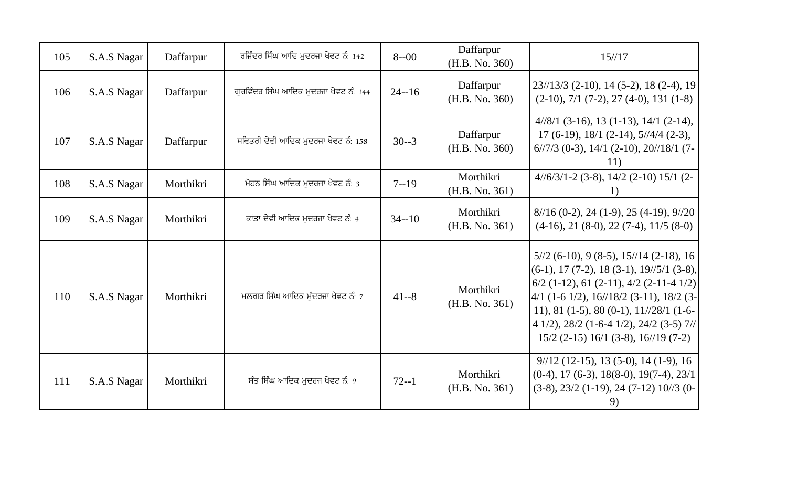| 105 | S.A.S Nagar | Daffarpur | ਰਜਿੰਦਰ ਸਿੰਘ ਆਦਿ ਮੁਦਰਜਾ ਖੇਵਟ ਨੰ: 142   | $8 - 00$  | Daffarpur<br>(H.B. No. 360) | 15/17                                                                                                                                                                                                                                                                                                                  |
|-----|-------------|-----------|---------------------------------------|-----------|-----------------------------|------------------------------------------------------------------------------------------------------------------------------------------------------------------------------------------------------------------------------------------------------------------------------------------------------------------------|
| 106 | S.A.S Nagar | Daffarpur | ਗਰਵਿੰਦਰ ਸਿੰਘ ਆਦਿਕ ਮੁਦਰਜਾ ਖੇਵਟ ਨੰ: 144 | $24 - 16$ | Daffarpur<br>(H.B. No. 360) | 23//13/3 (2-10), 14 (5-2), 18 (2-4), 19<br>$(2-10)$ , 7/1 (7-2), 27 (4-0), 131 (1-8)                                                                                                                                                                                                                                   |
| 107 | S.A.S Nagar | Daffarpur | ਸਵਿਤਰੀ ਦੇਵੀ ਆਦਿਕ ਮੁਦਰਜਾ ਖੇਵਟ ਨੰ: 158  | $30 - 3$  | Daffarpur<br>(H.B. No. 360) | $4/8/1$ (3-16), 13 (1-13), 14/1 (2-14),<br>$17(6-19), 18/1(2-14), 5/\frac{4}{4}(2-3),$<br>$6/7/3$ (0-3), 14/1 (2-10), 20//18/1 (7-<br>11)                                                                                                                                                                              |
| 108 | S.A.S Nagar | Morthikri | ਮੋਹਨ ਸਿੰਘ ਆਦਿਕ ਮੁਦਰਜਾ ਖੇਵਟ ਨੰ: 3      | $7 - 19$  | Morthikri<br>(H.B. No. 361) | $4/\frac{6}{3}$ 1 - 2 (3 - 8), 14/2 (2 - 10) 15/1 (2 -<br>1)                                                                                                                                                                                                                                                           |
| 109 | S.A.S Nagar | Morthikri | ਕਾਂਤਾ ਦੇਵੀ ਆਦਿਕ ਮੁਦਰਜਾ ਖੇਵਟ ਨੰ: 4     | $34 - 10$ | Morthikri<br>(H.B. No. 361) | $8/16$ (0-2), 24 (1-9), 25 (4-19), 9//20<br>$(4-16)$ , 21 $(8-0)$ , 22 $(7-4)$ , 11/5 $(8-0)$                                                                                                                                                                                                                          |
| 110 | S.A.S Nagar | Morthikri | ਮਲਗਰ ਸਿੰਘ ਆਦਿਕ ਮੰਦਰਜਾ ਖੇਵਟ ਨੰ: 7      | $41 - 8$  | Morthikri<br>(H.B. No. 361) | $5/2$ (6-10), 9 (8-5), 15//14 (2-18), 16<br>$(6-1)$ , 17 (7-2), 18 (3-1), 19//5/1 (3-8),<br>$6/2$ (1-12), 61 (2-11), 4/2 (2-11-4 1/2)<br>$4/1$ (1-6 1/2), 16//18/2 (3-11), 18/2 (3-<br>11), 81 (1-5), 80 (0-1), $11//28/1$ (1-6-<br>4 1/2), 28/2 (1-6-4 1/2), 24/2 (3-5) 7//<br>$15/2$ (2-15) 16/1 (3-8), 16//19 (7-2) |
| 111 | S.A.S Nagar | Morthikri | ਸੰਤ ਸਿੰਘ ਆਦਿਕ ਮਦਰਜ ਖੇਵਟ ਨੰ: $9$       | $72 - 1$  | Morthikri<br>(H.B. No. 361) | $9/12$ (12-15), 13 (5-0), 14 (1-9), 16<br>$(0-4)$ , 17 (6-3), 18(8-0), 19(7-4), 23/1<br>$(3-8), 23/2 (1-19), 24 (7-12) 10/3 (0-$                                                                                                                                                                                       |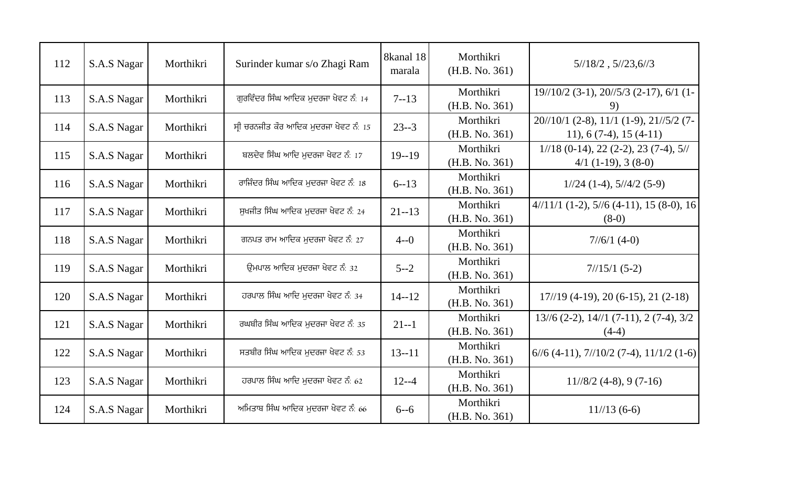| 112 | S.A.S Nagar | Morthikri | Surinder kumar s/o Zhagi Ram          | 8kanal 18<br>marala | Morthikri<br>(H.B. No. 361) | $5\frac{1}{8}2$ , $5\frac{1}{23}$ , $6\frac{1}{3}$                    |
|-----|-------------|-----------|---------------------------------------|---------------------|-----------------------------|-----------------------------------------------------------------------|
| 113 | S.A.S Nagar | Morthikri | ਗੁਰਵਿੰਦਰ ਸਿੰਘ ਆਦਿਕ ਮੁਦਰਜਾ ਖੇਵਟ ਨੰ: 14 | $7 - 13$            | Morthikri<br>(H.B. No. 361) | $19\frac{1}{02}$ (3-1), $20\frac{1}{5}$ (2-17), 6/1 (1-<br>9)         |
| 114 | S.A.S Nagar | Morthikri | ਸੀ ਚਰਨਜੀਤ ਕੌਰ ਆਦਿਕ ਮੁਦਰਜਾ ਖੇਵਟ ਨੰ: 15 | $23 - 3$            | Morthikri<br>(H.B. No. 361) | 20//10/1 (2-8), 11/1 (1-9), 21//5/2 (7-<br>11), $6(7-4)$ , $15(4-11)$ |
| 115 | S.A.S Nagar | Morthikri | ਬਲਦੇਵ ਸਿੰਘ ਆਦਿ ਮੁਦਰਜਾ ਖੇਵਟ ਨੰ: 17     | $19 - 19$           | Morthikri<br>(H.B. No. 361) | $1//18$ (0-14), 22 (2-2), 23 (7-4), 5//<br>$4/1$ (1-19), 3 (8-0)      |
| 116 | S.A.S Nagar | Morthikri | ਰਾਜਿੰਦਰ ਸਿੰਘ ਆਦਿਕ ਮਦਰਜਾ ਖੇਵਟ ਨੰ: 18   | $6 - 13$            | Morthikri<br>(H.B. No. 361) | $1//24$ (1-4), $5//4/2$ (5-9)                                         |
| 117 | S.A.S Nagar | Morthikri | ਸਖਜੀਤ ਸਿੰਘ ਆਦਿਕ ਮਦਰਜਾ ਖੇਵਟ ਨੰ: 24     | $21 - 13$           | Morthikri<br>(H.B. No. 361) | $4/11/1$ (1-2), $5/6$ (4-11), 15 (8-0), 16<br>$(8-0)$                 |
| 118 | S.A.S Nagar | Morthikri | ਗਨਪਤ ਰਾਮ ਆਦਿਕ ਮੁਦਰਜਾ ਖੇਵਟ ਨੰ: 27      | $4 - 0$             | Morthikri<br>(H.B. No. 361) | $7/6/1$ (4-0)                                                         |
| 119 | S.A.S Nagar | Morthikri | ਉਮਪਾਲ ਆਦਿਕ ਮਦਰਜਾ ਖੇਵਟ ਨੰ: 32          | $5 - -2$            | Morthikri<br>(H.B. No. 361) | $7/15/1(5-2)$                                                         |
| 120 | S.A.S Nagar | Morthikri | ਹਰਪਾਲ ਸਿੰਘ ਆਦਿ ਮਦਰਜਾ ਖੇਵਟ ਨੰ: 34      | $14 - 12$           | Morthikri<br>(H.B. No. 361) | $17/\sqrt{19}$ (4-19), 20 (6-15), 21 (2-18)                           |
| 121 | S.A.S Nagar | Morthikri | ਰਘਬੀਰ ਸਿੰਘ ਆਦਿਕ ਮਦਰਜਾ ਖੇਵਟ ਨੰ: 35     | $21 - 1$            | Morthikri<br>(H.B. No. 361) | $13/6$ (2-2), $14/1$ (7-11), 2 (7-4), $3/2$<br>$(4-4)$                |
| 122 | S.A.S Nagar | Morthikri | ਸਤਬੀਰ ਸਿੰਘ ਆਦਿਕ ਮੁਦਰਜਾ ਖੇਵਟ ਨੰ: 53    | $13 - 11$           | Morthikri<br>(H.B. No. 361) | $6/6$ (4-11), $7/10/2$ (7-4), $11/1/2$ (1-6)                          |
| 123 | S.A.S Nagar | Morthikri | ਹਰਪਾਲ ਸਿੰਘ ਆਦਿ ਮੁਦਰਜਾ ਖੇਵਟ ਨੰ: 62     | $12 - -4$           | Morthikri<br>(H.B. No. 361) | $11/\frac{8}{2}$ (4-8), 9 (7-16)                                      |
| 124 | S.A.S Nagar | Morthikri | ਅਮਿਤਾਬ ਸਿੰਘ ਆਦਿਕ ਮਦਰਜਾ ਖੇਵਟ ਨੰ: 66    | $6 - 6$             | Morthikri<br>(H.B. No. 361) | $11/13(6-6)$                                                          |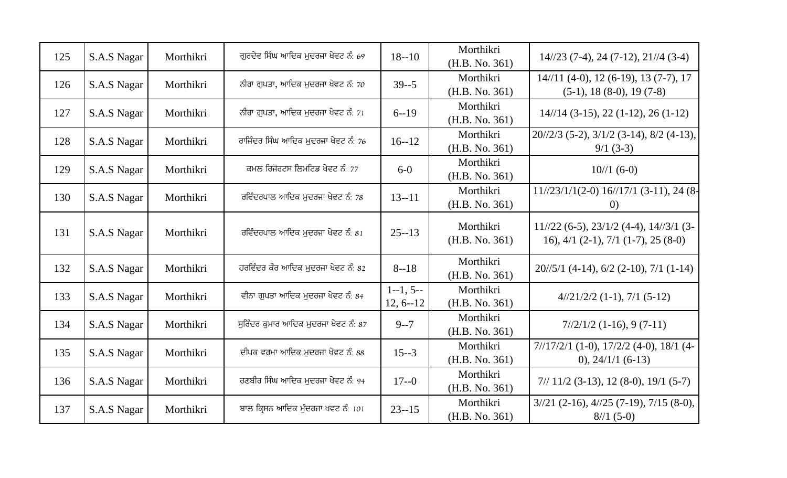| 125 | S.A.S Nagar | Morthikri | ਗਰਦੇਵ ਸਿੰਘ ਆਦਿਕ ਮਦਰਜਾ ਖੇਵਟ ਨੰ: 69    | $18 - 10$                    | Morthikri<br>(H.B. No. 361) | $14\frac{123(7-4)}{24(7-12)}, 21\frac{1}{4(3-4)}$                                        |
|-----|-------------|-----------|--------------------------------------|------------------------------|-----------------------------|------------------------------------------------------------------------------------------|
| 126 | S.A.S Nagar | Morthikri | ਨੀਰਾ ਗਪਤਾ, ਆਦਿਕ ਮਦਰਜਾ ਖੇਵਟ ਨੰ: 70    | $39 - 5$                     | Morthikri<br>(H.B. No. 361) | $14//11 (4-0), 12 (6-19), 13 (7-7), 17$<br>$(5-1)$ , 18 $(8-0)$ , 19 $(7-8)$             |
| 127 | S.A.S Nagar | Morthikri | ਨੀਰਾ ਗਪਤਾ, ਆਦਿਕ ਮਦਰਜਾ ਖੇਵਟ ਨੰ: 71    | $6 - 19$                     | Morthikri<br>(H.B. No. 361) | $14/\sqrt{14}$ (3-15), 22 (1-12), 26 (1-12)                                              |
| 128 | S.A.S Nagar | Morthikri | ਰਾਜਿੰਦਰ ਸਿੰਘ ਆਦਿਕ ਮੁਦਰਜਾ ਖੇਵਟ ਨੰ: 76 | $16 - 12$                    | Morthikri<br>(H.B. No. 361) | 20//2/3 (5-2), 3/1/2 (3-14), 8/2 (4-13),<br>$9/1(3-3)$                                   |
| 129 | S.A.S Nagar | Morthikri | ਕਮਲ ਰਿਜੋਰਟਸ ਲਿਮਟਿਡ ਖੇਵਟ ਨੰ: 77       | $6-0$                        | Morthikri<br>(H.B. No. 361) | $10/1(6-0)$                                                                              |
| 130 | S.A.S Nagar | Morthikri | ਰਵਿੰਦਰਪਾਲ ਆਦਿਕ ਮਦਰਜਾ ਖੇਵਟ ਨੰ: 78     | $13 - 11$                    | Morthikri<br>(H.B. No. 361) | $11//23/1/1(2-0)$ $16//17/1$ (3-11), 24 (8-<br>(0)                                       |
| 131 | S.A.S Nagar | Morthikri | ਰਵਿੰਦਰਪਾਲ ਆਦਿਕ ਮਦਰਜਾ ਖੇਵਟ ਨੰ: 81     | $25 - 13$                    | Morthikri<br>(H.B. No. 361) | $11//22$ (6-5), $23/1/2$ (4-4), $14//3/1$ (3-<br>16), $4/1$ (2-1), $7/1$ (1-7), 25 (8-0) |
| 132 | S.A.S Nagar | Morthikri | ਹਰਵਿੰਦਰ ਕੌਰ ਆਦਿਕ ਮੁਦਰਜਾ ਖੇਵਟ ਨੰ: 82  | $8 - 18$                     | Morthikri<br>(H.B. No. 361) | $20/5/1$ (4-14), 6/2 (2-10), 7/1 (1-14)                                                  |
| 133 | S.A.S Nagar | Morthikri | ਵੀਨਾ ਗਪਤਾ ਆਦਿਕ ਮਦਰਜਾ ਖੇਵਟ ਨੰ: 84     | $1 - 1, 5 -$<br>$12, 6 - 12$ | Morthikri<br>(H.B. No. 361) | $4/21/2/2$ (1-1), 7/1 (5-12)                                                             |
| 134 | S.A.S Nagar | Morthikri | ਸਰਿੰਦਰ ਕਮਾਰ ਆਦਿਕ ਮਦਰਜਾ ਖੇਵਟ ਨੰ: 87   | $9 - 7$                      | Morthikri<br>(H.B. No. 361) | $7\frac{1}{2}\frac{1}{2}$ (1-16), 9 (7-11)                                               |
| 135 | S.A.S Nagar | Morthikri | ਦੀਪਕ ਵਰਮਾ ਆਦਿਕ ਮਦਰਜਾ ਖੇਵਟ ਨੰ: 88     | $15 - 3$                     | Morthikri<br>(H.B. No. 361) | $7/17/2/1$ (1-0), $17/2/2$ (4-0), $18/1$ (4-<br>$(0), 24/1/1 (6-13)$                     |
| 136 | S.A.S Nagar | Morthikri | ਰਣਬੀਰ ਸਿੰਘ ਆਦਿਕ ਮੁਦਰਜਾ ਖੇਵਟ ਨੰ: 94   | $17 - 0$                     | Morthikri<br>(H.B. No. 361) | $7/11/2$ (3-13), 12 (8-0), 19/1 (5-7)                                                    |
| 137 | S.A.S Nagar | Morthikri | ਬਾਲ ਕ੍ਰਿਸਨ ਆਦਿਕ ਮੁੰਦਰਜਾ ਖਵਟ ਨੰ: 101  | $23 - 15$                    | Morthikri<br>(H.B. No. 361) | $3/21$ (2-16), $4/25$ (7-19), 7/15 (8-0),<br>$8/1(5-0)$                                  |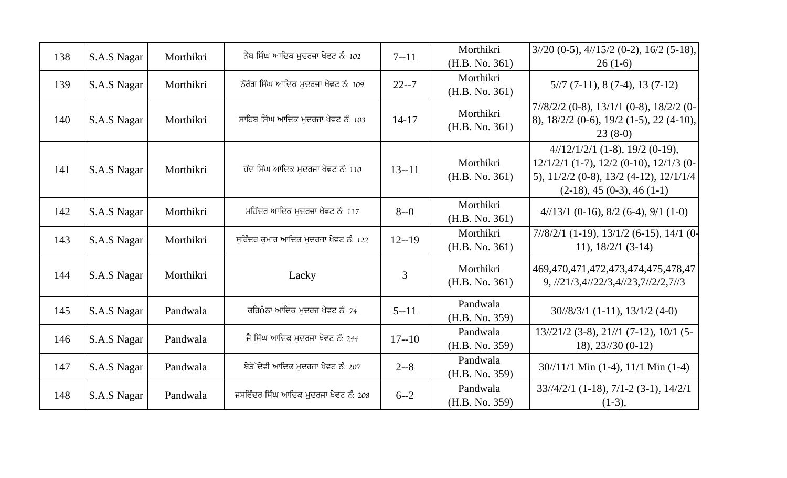| 138 | S.A.S Nagar | Morthikri | ਨੈਬ ਸਿੰਘ ਆਦਿਕ ਮੁਦਰਜਾ ਖੇਵਟ ਨੰ: 102     | $7 - 11$  | Morthikri<br>(H.B. No. 361) | $3/20$ (0-5), $4/15/2$ (0-2), 16/2 (5-18),<br>$26(1-6)$                                                                                                                  |
|-----|-------------|-----------|---------------------------------------|-----------|-----------------------------|--------------------------------------------------------------------------------------------------------------------------------------------------------------------------|
| 139 | S.A.S Nagar | Morthikri | ਨੌਰੰਗ ਸਿੰਘ ਆਦਿਕ ਮਦਰਜਾ ਖੇਵਟ ਨੰ: 109    | $22 - 7$  | Morthikri<br>(H.B. No. 361) | $5/7$ (7-11), 8 (7-4), 13 (7-12)                                                                                                                                         |
| 140 | S.A.S Nagar | Morthikri | ਸਾਹਿਬ ਸਿੰਘ ਆਦਿਕ ਮੁਦਰਜਾ ਖੇਵਟ ਨੰ: 103   | $14 - 17$ | Morthikri<br>(H.B. No. 361) | $7/8/2/2$ (0-8), $13/1/1$ (0-8), $18/2/2$ (0-<br>$(8)$ , $18/2/2$ (0-6), $19/2$ (1-5), 22 (4-10),<br>$23(8-0)$                                                           |
| 141 | S.A.S Nagar | Morthikri | ਚੰਦ ਸਿੰਘ ਆਦਿਕ ਮਦਰਜਾ ਖੇਵਟ ਨੰ: 110      | $13 - 11$ | Morthikri<br>(H.B. No. 361) | $4/12/1/2/1$ (1-8), 19/2 (0-19),<br>$12/1/2/1$ (1-7), $12/2$ (0-10), $12/1/3$ (0-<br>5), $11/2/2$ (0-8), $13/2$ (4-12), $12/1/1/4$<br>$(2-18)$ , 45 $(0-3)$ , 46 $(1-1)$ |
| 142 | S.A.S Nagar | Morthikri | ਮਹਿੰਦਰ ਆਦਿਕ ਮੁਦਰਜਾ ਖੇਵਟ ਨੰ: 117       | $8 - 0$   | Morthikri<br>(H.B. No. 361) | $4/13/1$ (0-16), 8/2 (6-4), 9/1 (1-0)                                                                                                                                    |
| 143 | S.A.S Nagar | Morthikri | ਸਰਿੰਦਰ ਕਮਾਰ ਆਦਿਕ ਮਦਰਜਾ ਖੇਵਟ ਨੰ: 122   | $12 - 19$ | Morthikri<br>(H.B. No. 361) | $7/8/2/1$ (1-19), $13/1/2$ (6-15), $14/1$ (0-<br>11), $18/2/1$ (3-14)                                                                                                    |
| 144 | S.A.S Nagar | Morthikri | Lacky                                 | 3         | Morthikri<br>(H.B. No. 361) | 469, 470, 471, 472, 473, 474, 475, 478, 47<br>9, 1/21/3, 4/22/3, 4/23, 7/2/2, 7/3                                                                                        |
| 145 | S.A.S Nagar | Pandwala  | ਕਰਿ0ੇਨਾ ਆਦਿਕ ਮਦਰਜ ਖੇਵਟ ਨੰ: 74         | $5 - 11$  | Pandwala<br>(H.B. No. 359)  | $30/8/3/1$ (1-11), $13/1/2$ (4-0)                                                                                                                                        |
| 146 | S.A.S Nagar | Pandwala  | ਜੈ ਸਿੰਘ ਆਦਿਕ ਮਦਰਜਾ ਖੇਵਟ ਨੰ: 244       | $17 - 10$ | Pandwala<br>(H.B. No. 359)  | $13\frac{121}{2}$ (3-8), $21\frac{1}{1}$ (7-12), 10/1 (5-<br>18), $23/30(0-12)$                                                                                          |
| 147 | S.A.S Nagar | Pandwala  | ਬੇਤੋੱਦੇਵੀ ਆਦਿਕ ਮਦਰਜਾ ਖੇਵਟ ਨੰ: 207     | $2 - 8$   | Pandwala<br>(H.B. No. 359)  | $30/11/1$ Min (1-4), $11/1$ Min (1-4)                                                                                                                                    |
| 148 | S.A.S Nagar | Pandwala  | ਜਸਵਿੰਦਰ ਸਿੰਘ ਆਦਿਕ ਮੁਦਰਜਾ ਖੇਵਟ ਨੰ: 208 | $6 - -2$  | Pandwala<br>(H.B. No. 359)  | $33\frac{1}{4}\frac{2}{1}$ (1-18), 7/1-2 (3-1), 14/2/1<br>$(1-3),$                                                                                                       |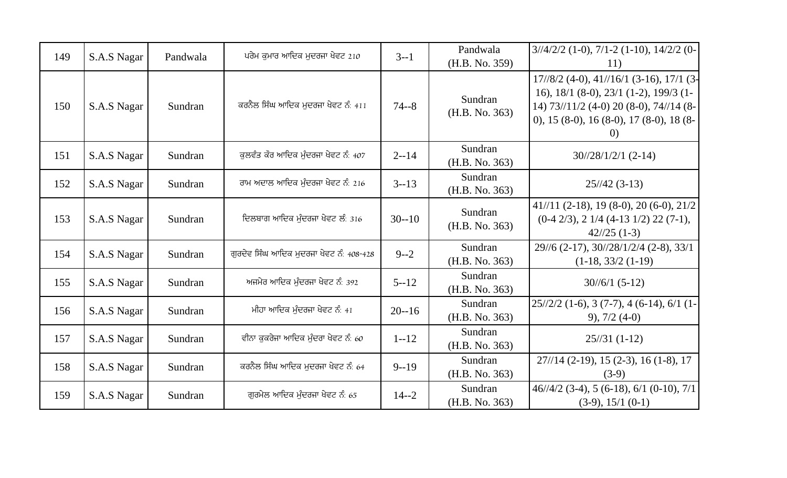| 149 | S.A.S Nagar | Pandwala | ਪਰੇਮ ਕਮਾਰ ਆਦਿਕ ਮੁਦਰਜਾ ਖੇਵਟ 210         | $3 - 1$   | Pandwala<br>(H.B. No. 359) | $3\frac{1}{4}\frac{2}{2}$ (1-0), $7\frac{1}{2}$ (1-10), $14\frac{2}{2}$ (0-<br>11)                                                                                                                            |
|-----|-------------|----------|----------------------------------------|-----------|----------------------------|---------------------------------------------------------------------------------------------------------------------------------------------------------------------------------------------------------------|
| 150 | S.A.S Nagar | Sundran  | ਕਰਨੈਲ ਸਿੰਘ ਆਦਿਕ ਮੁਦਰਜਾ ਖੇਵਟ ਨੰ: 411    | $74 - 8$  | Sundran<br>(H.B. No. 363)  | $17/\frac{8}{2}$ (4-0), 41//16/1 (3-16), 17/1 (3-<br>16), $18/1$ (8-0), $23/1$ (1-2), $199/3$ (1-<br>14) 73//11/2 (4-0) 20 (8-0), 74//14 (8-<br>0), 15 (8-0), 16 (8-0), 17 (8-0), 18 (8-<br>$\left( 0\right)$ |
| 151 | S.A.S Nagar | Sundran  | ਕਲਵੰਤ ਕੌਰ ਆਦਿਕ ਮੰਦਰਜਾ ਖੇਵਟ ਨੰ: 407     | $2 - 14$  | Sundran<br>(H.B. No. 363)  | $30\frac{28}{12}$ /1/2/1 (2-14)                                                                                                                                                                               |
| 152 | S.A.S Nagar | Sundran  | ਰਾਮ ਅਦਾਲ ਆਦਿਕ ਮੁੰਦਰਜਾ ਖੇਵਟ ਨੰ: 216     | $3 - 13$  | Sundran<br>(H.B. No. 363)  | $25/42(3-13)$                                                                                                                                                                                                 |
| 153 | S.A.S Nagar | Sundran  | ਦਿਲਬਾਗ ਆਦਿਕ ਮੰਦਰਜਾ ਖੇਵਟ ਲੰ: 316        | $30 - 10$ | Sundran<br>(H.B. No. 363)  | $41//11$ (2-18), 19 (8-0), 20 (6-0), 21/2<br>$(0-4 \frac{2}{3}), 2 \frac{1}{4} \frac{4-13 \frac{1}{2}}{22 \frac{22 \frac{7}{1}}{3}},$<br>$42/25(1-3)$                                                         |
| 154 | S.A.S Nagar | Sundran  | ਗਰਦੇਵ ਸਿੰਘ ਆਦਿਕ ਮਦਰਜਾ ਖੇਵਟ ਨੰ: 408-428 | $9 - -2$  | Sundran<br>(H.B. No. 363)  | 29//6 (2-17), 30//28/1/2/4 (2-8), 33/1<br>$(1-18, 33/2 (1-19))$                                                                                                                                               |
| 155 | S.A.S Nagar | Sundran  | ਅਜਮੇਰ ਆਦਿਕ ਮੰਦਰਜਾ ਖੇਵਟ ਨੰ: 392         | $5 - 12$  | Sundran<br>(H.B. No. 363)  | $30/\frac{6}{1}$ (5-12)                                                                                                                                                                                       |
| 156 | S.A.S Nagar | Sundran  | ਮੀਹਾ ਆਦਿਕ ਮੰਦਰਜਾ ਖੇਵਟ ਨੰ: 41           | $20 - 16$ | Sundran<br>(H.B. No. 363)  | $25\frac{1}{22}$ (1-6), 3 (7-7), 4 (6-14), 6/1 (1-<br>$9)$ , 7/2 (4-0)                                                                                                                                        |
| 157 | S.A.S Nagar | Sundran  | ਵੀਨਾ ਕਕਰੇਜਾ ਆਦਿਕ ਮੰਦਰਾ ਖੇਵਟ ਨੰ: 60     | $1 - 12$  | Sundran<br>(H.B. No. 363)  | $25/31(1-12)$                                                                                                                                                                                                 |
| 158 | S.A.S Nagar | Sundran  | ਕਰਨੈਲ ਸਿੰਘ ਆਦਿਕ ਮਦਰਜਾ ਖੇਵਟ ਨੰ: 64      | $9 - 19$  | Sundran<br>(H.B. No. 363)  | $27\frac{1}{4}$ (2-19), 15 (2-3), 16 (1-8), 17<br>$(3-9)$                                                                                                                                                     |
| 159 | S.A.S Nagar | Sundran  | ਗੁਰਮੇਲ ਆਦਿਕ ਮੁੰਦਰਜਾ ਖੇਵਟ ਨੰ: 65        | $14 - 2$  | Sundran<br>(H.B. No. 363)  | $46/4/2$ (3-4), 5 (6-18), 6/1 (0-10), 7/1<br>$(3-9), 15/1 (0-1)$                                                                                                                                              |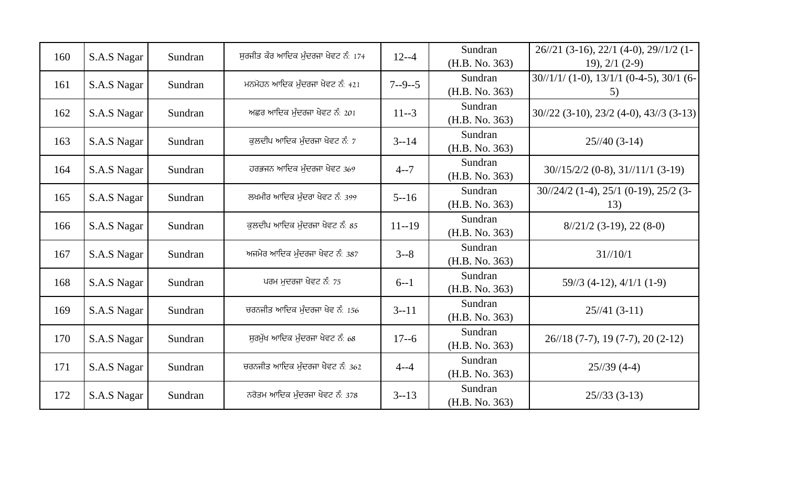| 160 | S.A.S Nagar | Sundran | ਸਰਜੀਤ ਕੌਰ ਆਦਿਕ ਮੰਦਰਜਾ ਖੇਵਟ ਨੰ: 174 | $12 - -4$    | Sundran<br>(H.B. No. 363) | $26/\frac{21}{3-16}$ , 22/1 (4-0), 29//1/2 (1-<br>$19$ , $2/1$ $(2-9)$      |
|-----|-------------|---------|------------------------------------|--------------|---------------------------|-----------------------------------------------------------------------------|
| 161 | S.A.S Nagar | Sundran | ਮਨਮੋਹਨ ਆਦਿਕ ਮੰਦਰਜਾ ਖੇਵਟ ਨੰ: 421    | $7 - -9 - 5$ | Sundran<br>(H.B. No. 363) | $30/1/1/$ (1-0), $13/1/1$ (0-4-5), $30/1$ (6-<br>5)                         |
| 162 | S.A.S Nagar | Sundran | ਅਛਰ ਆਦਿਕ ਮੰਦਰਜਾ ਖੇਵਟ ਨੰ: 201       | $11 - 3$     | Sundran<br>(H.B. No. 363) | $30/22$ (3-10), $23/2$ (4-0), $43/3$ (3-13)                                 |
| 163 | S.A.S Nagar | Sundran | ਕਲਦੀਪ ਆਦਿਕ ਮੰਦਰਜਾ ਖੇਵਟ ਨੰ: 7       | $3 - 14$     | Sundran<br>(H.B. No. 363) | $25/40(3-14)$                                                               |
| 164 | S.A.S Nagar | Sundran | ਹਰਭਜਨ ਆਦਿਕ ਮੰਦਰਜਾ ਖੇਵਟ 369         | $4 - 7$      | Sundran<br>(H.B. No. 363) | $30\frac{15}{22}$ (0-8), $31\frac{11}{11}$ (3-19)                           |
| 165 | S.A.S Nagar | Sundran | ਲਖਮੀਰ ਆਦਿਕ ਮੰਦਰਾ ਖੇਵਟ ਨੰ: 399      | $5 - 16$     | Sundran<br>(H.B. No. 363) | $30\frac{24}{2}$ (1-4), $25\frac{1}{1}$ (0-19), $25\frac{25}{2}$ (3-<br>13) |
| 166 | S.A.S Nagar | Sundran | ਕਲਦੀਪ ਆਦਿਕ ਮੰਦਰਜਾ ਖੇਵਟ ਨੰ: 85      | $11 - 19$    | Sundran<br>(H.B. No. 363) | $8/21/2$ (3-19), 22 (8-0)                                                   |
| 167 | S.A.S Nagar | Sundran | ਅਜਮੇਰ ਆਦਿਕ ਮੰਦਰਜਾ ਖੇਵਟ ਨੰ: 387     | $3 - 8$      | Sundran<br>(H.B. No. 363) | $31/\frac{10}{1}$                                                           |
| 168 | S.A.S Nagar | Sundran | ਪਰਮ ਮਦਰਜਾ ਖੇਵਟ ਨੰ: 75              | $6 - 1$      | Sundran<br>(H.B. No. 363) | $59\frac{3}{4-12}$ , 4/1/1 (1-9)                                            |
| 169 | S.A.S Nagar | Sundran | ਚਰਨਜੀਤ ਆਦਿਕ ਮੰਦਰਜਾ ਖੇਵ ਨੰ: 156     | $3 - 11$     | Sundran<br>(H.B. No. 363) | $25/41(3-11)$                                                               |
| 170 | S.A.S Nagar | Sundran | ਸਰਮੱਖ ਆਦਿਕ ਮੰਦਰਜਾ ਖੇਵਟ ਨੰ: 68      | $17 - 6$     | Sundran<br>(H.B. No. 363) | 26//18 (7-7), 19 (7-7), 20 (2-12)                                           |
| 171 | S.A.S Nagar | Sundran | ਚਰਨਜੀਤ ਆਦਿਕ ਮੰਦਰਜਾ ਖੇਵਟ ਨੰ: 362    | $4 - -4$     | Sundran<br>(H.B. No. 363) | $25/39(4-4)$                                                                |
| 172 | S.A.S Nagar | Sundran | ਨਰੋਤਮ ਆਦਿਕ ਮੁੰਦਰਜਾ ਖੇਵਟ ਨੰ: 378    | $3 - 13$     | Sundran<br>(H.B. No. 363) | $25/33(3-13)$                                                               |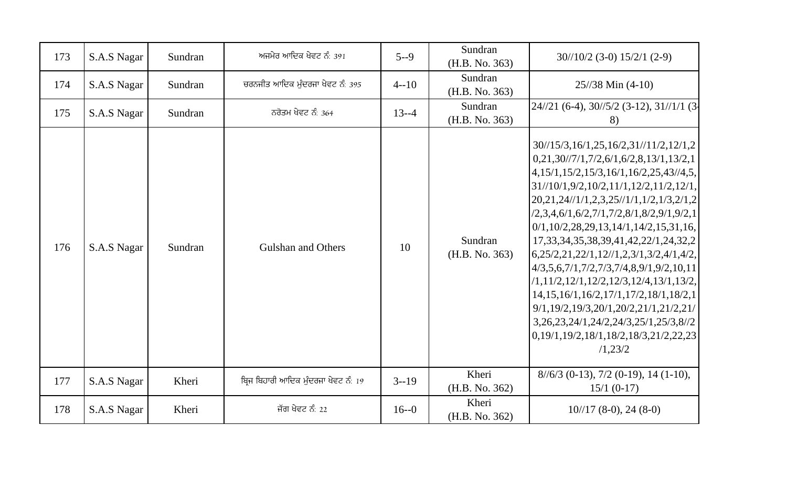| 173 | S.A.S Nagar | Sundran | ਅਜਮੇਰ ਆਦਿਕ ਖੇਵਟ ਨੰ: 391             | $5 - 9$   | Sundran<br>(H.B. No. 363) | $30/10/2$ (3-0) $15/2/1$ (2-9)                                                                                                                                                                                                                                                                                                                                                                                                                                                                                                                                                                                                                                                                                                                                                                                       |
|-----|-------------|---------|-------------------------------------|-----------|---------------------------|----------------------------------------------------------------------------------------------------------------------------------------------------------------------------------------------------------------------------------------------------------------------------------------------------------------------------------------------------------------------------------------------------------------------------------------------------------------------------------------------------------------------------------------------------------------------------------------------------------------------------------------------------------------------------------------------------------------------------------------------------------------------------------------------------------------------|
| 174 | S.A.S Nagar | Sundran | ਚਰਨਜੀਤ ਆਦਿਕ ਮੰਦਰਜਾ ਖੇਵਟ ਨੰ: 395     | $4 - 10$  | Sundran<br>(H.B. No. 363) | $25/38$ Min (4-10)                                                                                                                                                                                                                                                                                                                                                                                                                                                                                                                                                                                                                                                                                                                                                                                                   |
| 175 | S.A.S Nagar | Sundran | ਨਰੋਤਮ ਖੇਵਟ ਨੰ: 364                  | $13 - -4$ | Sundran<br>(H.B. No. 363) | $24/21$ (6-4), $30/5/2$ (3-12), $31/1/1$ (3-<br>8)                                                                                                                                                                                                                                                                                                                                                                                                                                                                                                                                                                                                                                                                                                                                                                   |
| 176 | S.A.S Nagar | Sundran | <b>Gulshan and Others</b>           | 10        | Sundran<br>(H.B. No. 363) | $30\frac{15}{3}, 16\frac{1}{25}, 16\frac{2}{3}, 11\frac{1}{2}, 12\frac{1}{2}$<br>$0,21,30/\frac{7}{1},7/2,6/1,6/2,8,13/1,13/2,1$<br>$\left[4,15/1,15/2,15/3,16/1,16/2,25,43/4,5\right]$<br>$31//10/1,9/2,10/2,11/1,12/2,11/2,12/1,$<br>$20,21,24$ //1/1,2,3,25//1/1,1/2,1/3,2/1,2<br>$(2,3,4,6/1,6/2,7/1,7/2,8/1,8/2,9/1,9/2,1)$<br>$0/1, 10/2, 28, 29, 13, 14/1, 14/2, 15, 31, 16,$<br>17, 33, 34, 35, 38, 39, 41, 42, 22/1, 24, 32, 2<br>$6,25/2,21,22/1,12\frac{\t}{3},23/1,3\frac{2}{4},4\frac{4}{2},$<br>$4/3, 5, 6, 7/1, 7/2, 7/3, 7/4, 8, 9/1, 9/2, 10, 11$<br>$(1, 11/2, 12/1, 12/2, 12/3, 12/4, 13/1, 13/2,$<br>14, 15, 16/1, 16/2, 17/1, 17/2, 18/1, 18/2, 1<br>9/1,19/2,19/3,20/1,20/2,21/1,21/2,21/<br>3, 26, 23, 24/1, 24/2, 24/3, 25/1, 25/3, 8//2<br>0,19/1,19/2,18/1,18/2,18/3,21/2,22,23<br>/1,23/2 |
| 177 | S.A.S Nagar | Kheri   | ਬਿਜ ਬਿਹਾਰੀ ਆਦਿਕ ਮੁੰਦਰਜਾ ਖੇਵਟ ਨੰ: 19 | $3 - 19$  | Kheri<br>(H.B. No. 362)   | $8/6/3$ (0-13), 7/2 (0-19), 14 (1-10),<br>$15/1(0-17)$                                                                                                                                                                                                                                                                                                                                                                                                                                                                                                                                                                                                                                                                                                                                                               |
| 178 | S.A.S Nagar | Kheri   | ਜੱਗ ਖੇਵਟ ਨੰ: 22                     | $16 - 0$  | Kheri<br>(H.B. No. 362)   | $10^{1/17}$ (8-0), 24 (8-0)                                                                                                                                                                                                                                                                                                                                                                                                                                                                                                                                                                                                                                                                                                                                                                                          |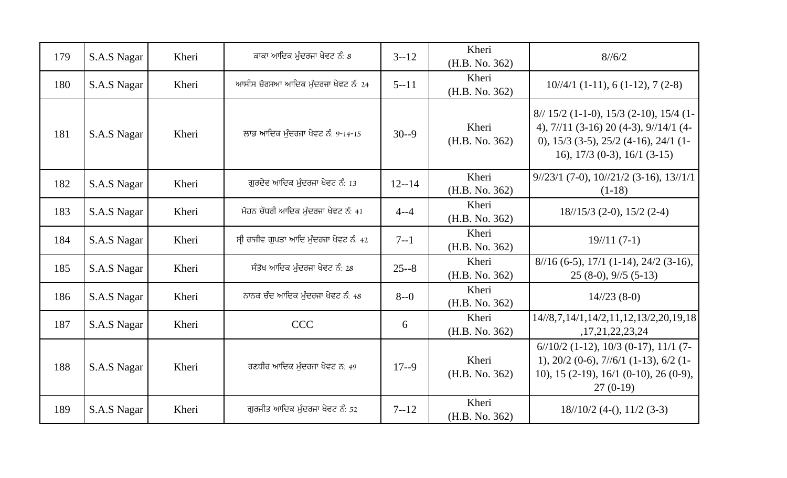| 179 | S.A.S Nagar | Kheri | ਕਾਕਾ ਆਦਿਕ ਮੁੰਦਰਜਾ ਖੇਵਟ ਨੰ: 8           | $3 - 12$  | Kheri<br>(H.B. No. 362) | $8^{1/6/2}$                                                                                                                                                             |
|-----|-------------|-------|----------------------------------------|-----------|-------------------------|-------------------------------------------------------------------------------------------------------------------------------------------------------------------------|
| 180 | S.A.S Nagar | Kheri | ਆਸੀਸ ਚੋਰਸਆ ਆਦਿਕ ਮੰਦਰਜਾ ਖੇਵਟ ਨੰ: 24     | $5 - 11$  | Kheri<br>(H.B. No. 362) | $10/\frac{4}{1}$ (1-11), 6 (1-12), 7 (2-8)                                                                                                                              |
| 181 | S.A.S Nagar | Kheri | ਲਾਭ ਆਦਿਕ ਮੰਦਰਜਾ ਖੇਵਟ ਨੰ: 9-14-15       | $30 - 9$  | Kheri<br>(H.B. No. 362) | $8//15/2$ (1-1-0), 15/3 (2-10), 15/4 (1-<br>4), $7/11$ (3-16) 20 (4-3), $9/14/1$ (4-<br>0), $15/3$ (3-5), $25/2$ (4-16), $24/1$ (1-<br>16), $17/3$ (0-3), $16/1$ (3-15) |
| 182 | S.A.S Nagar | Kheri | ਗਰਦੇਵ ਆਦਿਕ ਮੁੰਦਰਜਾ ਖੇਵਟ ਨੰ: 13         | $12 - 14$ | Kheri<br>(H.B. No. 362) | $9\frac{1}{23}$ (7-0), $10\frac{1}{21}$ (3-16), $13\frac{1}{11}$<br>$(1-18)$                                                                                            |
| 183 | S.A.S Nagar | Kheri | ਮੋਹਨ ਚੌਧਰੀ ਆਦਿਕ ਮੰਦਰਜਾ ਖੇਵਟ ਨੰ: 41     | $4 - -4$  | Kheri<br>(H.B. No. 362) | $18/15/3$ (2-0), $15/2$ (2-4)                                                                                                                                           |
| 184 | S.A.S Nagar | Kheri | ਸੀ ਰਾਜੀਵ ਗੁਪਤਾ ਆਦਿ ਮੁੰਦਰਜਾ ਖੇਵਟ ਨੰ: 42 | $7 - 1$   | Kheri<br>(H.B. No. 362) | $19/11(7-1)$                                                                                                                                                            |
| 185 | S.A.S Nagar | Kheri | ਸੰਤੋਖ ਆਦਿਕ ਮੰਦਰਜਾ ਖੇਵਟ ਨੰ: 28          | $25 - 8$  | Kheri<br>(H.B. No. 362) | $8/16$ (6-5), $17/1$ (1-14), $24/2$ (3-16),<br>$25(8-0), 9/5(5-13)$                                                                                                     |
| 186 | S.A.S Nagar | Kheri | ਨਾਨਕ ਚੰਦ ਆਦਿਕ ਮੁੰਦਰਜਾ ਖੇਵਟ ਨੰ: 48      | $8 - 0$   | Kheri<br>(H.B. No. 362) | $14/23(8-0)$                                                                                                                                                            |
| 187 | S.A.S Nagar | Kheri | <b>CCC</b>                             | 6         | Kheri<br>(H.B. No. 362) | 14//8,7,14/1,14/2,11,12,13/2,20,19,18<br>,17,21,22,23,24                                                                                                                |
| 188 | S.A.S Nagar | Kheri | ਰਣਧੀਰ ਆਦਿਕ ਮੰਦਰਜਾ ਖੇਵਟ ਨ: 49           | $17 - 9$  | Kheri<br>(H.B. No. 362) | $6/10/2$ (1-12), 10/3 (0-17), 11/1 (7-<br>1), $20/2$ (0-6), $7/6/1$ (1-13), $6/2$ (1-<br>10), 15 (2-19), 16/1 (0-10), 26 (0-9),<br>$27(0-19)$                           |
| 189 | S.A.S Nagar | Kheri | ਗਰਜੀਤ ਆਦਿਕ ਮੰਦਰਜਾ ਖੇਵਟ ਨੰ: 52          | $7 - 12$  | Kheri<br>(H.B. No. 362) | $18/10/2$ (4-(), $11/2$ (3-3)                                                                                                                                           |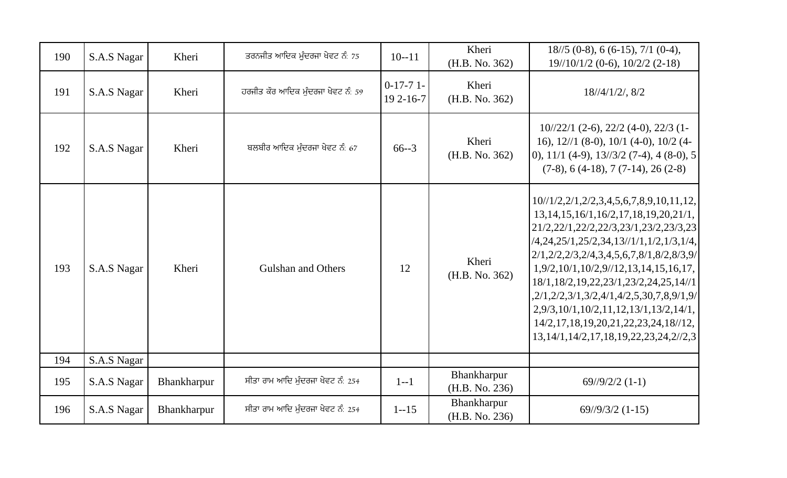| 190 | S.A.S Nagar | Kheri       | ਤਰਨਜੀਤ ਆਦਿਕ ਮੁੰਦਰਜਾ ਖੇਵਟ ਨੰ: 75    | $10 - 11$              | Kheri<br>(H.B. No. 362)       | $18/5$ (0-8), 6 (6-15), 7/1 (0-4),<br>$19\frac{10}{10}$ (0-6), $10\frac{2}{2}$ (2-18)                                                                                                                                                                                                                                                                                                                                                                                                                                                               |
|-----|-------------|-------------|------------------------------------|------------------------|-------------------------------|-----------------------------------------------------------------------------------------------------------------------------------------------------------------------------------------------------------------------------------------------------------------------------------------------------------------------------------------------------------------------------------------------------------------------------------------------------------------------------------------------------------------------------------------------------|
| 191 | S.A.S Nagar | Kheri       | ਹਰਜੀਤ ਕੌਰ ਆਦਿਕ ਮੁੰਦਰਜਾ ਖੇਵਟ ਨੰ: 59 | $0-17-71$<br>19 2-16-7 | Kheri<br>(H.B. No. 362)       | $18/4/1/2/$ , $8/2$                                                                                                                                                                                                                                                                                                                                                                                                                                                                                                                                 |
| 192 | S.A.S Nagar | Kheri       | ਬਲਬੀਰ ਆਦਿਕ ਮੰਦਰਜਾ ਖੇਵਟ ਨੰ: 67      | $66 - 3$               | Kheri<br>(H.B. No. 362)       | $10\frac{122}{1}$ (2-6), 22/2 (4-0), 22/3 (1-<br>16), $12/1$ (8-0), $10/1$ (4-0), $10/2$ (4-<br>$\vert$ 0), 11/1 (4-9), 13//3/2 (7-4), 4 (8-0), 5<br>$(7-8)$ , 6 (4-18), 7 (7-14), 26 (2-8)                                                                                                                                                                                                                                                                                                                                                         |
| 193 | S.A.S Nagar | Kheri       | <b>Gulshan and Others</b>          | 12                     | Kheri<br>(H.B. No. 362)       | $10^{1/2}, 2^{1}, 2^{2}, 3, 4, 5, 6, 7, 8, 9, 10, 11, 12,$<br>$13, 14, 15, 16/1, 16/2, 17, 18, 19, 20, 21/1,$<br>21/2,22/1,22/2,22/3,23/1,23/2,23/3,23<br>$(4,24,25/1,25/2,34,13/1/1,1/2,1/3,1/4,$<br>$2/1, 2/2, 2/3, 2/4, 3, 4, 5, 6, 7, 8/1, 8/2, 8/3, 9/$<br>1,9/2,10/1,10/2,9/12,13,14,15,16,17,<br>18/1,18/2,19,22,23/1,23/2,24,25,14//1<br>$2/1, 2/2, 3/1, 3/2, 4/1, 4/2, 5, 30, 7, 8, 9/1, 9/$<br>2,9/3,10/1,10/2,11,12,13/1,13/2,14/1,<br>$14/2, 17, 18, 19, 20, 21, 22, 23, 24, 18/12,$<br>13, 14/1, 14/2, 17, 18, 19, 22, 23, 24, 2//2, 3 |
| 194 | S.A.S Nagar |             |                                    |                        |                               |                                                                                                                                                                                                                                                                                                                                                                                                                                                                                                                                                     |
| 195 | S.A.S Nagar | Bhankharpur | ਸੀਤਾ ਰਾਮ ਆਦਿ ਮੰਦਰਜਾ ਖੇਵਟ ਨੰ: 254   | $1 - 1$                | Bhankharpur<br>(H.B. No. 236) | $69\frac{1}{9}\frac{2}{2}$ (1-1)                                                                                                                                                                                                                                                                                                                                                                                                                                                                                                                    |
| 196 | S.A.S Nagar | Bhankharpur | ਸੀਤਾ ਰਾਮ ਆਦਿ ਮੰਦਰਜਾ ਖੇਵਟ ਨੰ: 254   | $1 - 15$               | Bhankharpur<br>(H.B. No. 236) | $69\frac{1}{9}\frac{3}{2}$ (1-15)                                                                                                                                                                                                                                                                                                                                                                                                                                                                                                                   |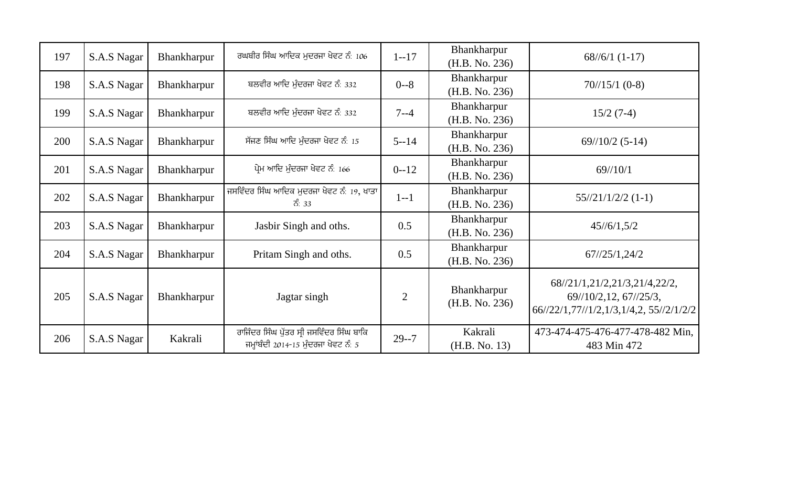| 197 | S.A.S Nagar | Bhankharpur        | ਰਘਬੀਰ ਸਿੰਘ ਆਦਿਕ ਮੁਦਰਜਾ ਖੇਵਟ ਨੰ: 106                                                | $1 - 17$       | Bhankharpur<br>(H.B. No. 236) | $68/\frac{6}{1} (1-17)$                                                                                                                           |
|-----|-------------|--------------------|------------------------------------------------------------------------------------|----------------|-------------------------------|---------------------------------------------------------------------------------------------------------------------------------------------------|
| 198 | S.A.S Nagar | Bhankharpur        | ਬਲਵੀਰ ਆਦਿ ਮੰਦਰਜਾ ਖੇਵਟ ਨੰ: 332                                                      | $0 - 8$        | Bhankharpur<br>(H.B. No. 236) | $70/15/1$ (0-8)                                                                                                                                   |
| 199 | S.A.S Nagar | <b>Bhankharpur</b> | ਬਲਵੀਰ ਆਦਿ ਮੁੰਦਰਜਾ ਖੇਵਟ ਨੰ: 332                                                     | $7 - -4$       | Bhankharpur<br>(H.B. No. 236) | $15/2(7-4)$                                                                                                                                       |
| 200 | S.A.S Nagar | Bhankharpur        | ਸੱਜਣ ਸਿੰਘ ਆਦਿ ਮੁੰਦਰਜਾ ਖੇਵਟ ਨੰ: 15                                                  | $5 - 14$       | Bhankharpur<br>(H.B. No. 236) | $69\frac{1}{10/2}$ (5-14)                                                                                                                         |
| 201 | S.A.S Nagar | Bhankharpur        | ਪ੍ਰੇਮ ਆਦਿ ਮੁੰਦਰਜਾ ਖੇਵਟ ਨੰ: 166                                                     | $0 - 12$       | Bhankharpur<br>(H.B. No. 236) | $69^{1/10/1}$                                                                                                                                     |
| 202 | S.A.S Nagar | Bhankharpur        | ਜਸਵਿੰਦਰ ਸਿੰਘ ਆਦਿਕ ਮੁਦਰਜਾ ਖੇਵਟ ਨੰ: 19, ਖਾਤਾ<br>ਨੰ: 33                               | $1 - 1$        | Bhankharpur<br>(H.B. No. 236) | $55\frac{1}{21}\frac{1}{22}$ (1-1)                                                                                                                |
| 203 | S.A.S Nagar | Bhankharpur        | Jasbir Singh and oths.                                                             | 0.5            | Bhankharpur<br>(H.B. No. 236) | $45\frac{1}{6}1,5\frac{2}{2}$                                                                                                                     |
| 204 | S.A.S Nagar | Bhankharpur        | Pritam Singh and oths.                                                             | 0.5            | Bhankharpur<br>(H.B. No. 236) | $67$ //25/1,24/2                                                                                                                                  |
| 205 | S.A.S Nagar | Bhankharpur        | Jagtar singh                                                                       | $\overline{2}$ | Bhankharpur<br>(H.B. No. 236) | 68//21/1,21/2,21/3,21/4,22/2,<br>$69\frac{\frac{1}{2}}{10\frac{2}{12}}$ , $67\frac{\frac{1}{25}}{3}$ ,<br>66//22/1,77//1/2,1/3,1/4,2, 55//2/1/2/2 |
| 206 | S.A.S Nagar | Kakrali            | ਰਾਜਿੰਦਰ ਸਿੰਘ ਪੁੱਤਰ ਸ੍ਰੀ ਜਸਵਿੰਦਰ ਸਿੰਘ ਬਾਕਿ<br>ਜਮ੍ਹਾਂਬੰਦੀ 2014-15 ਮੁੰਦਰਜਾ ਖੇਵਟ ਨੰ: 5 | $29 - 7$       | Kakrali<br>(H.B. No. 13)      | 473-474-475-476-477-478-482 Min,<br>483 Min 472                                                                                                   |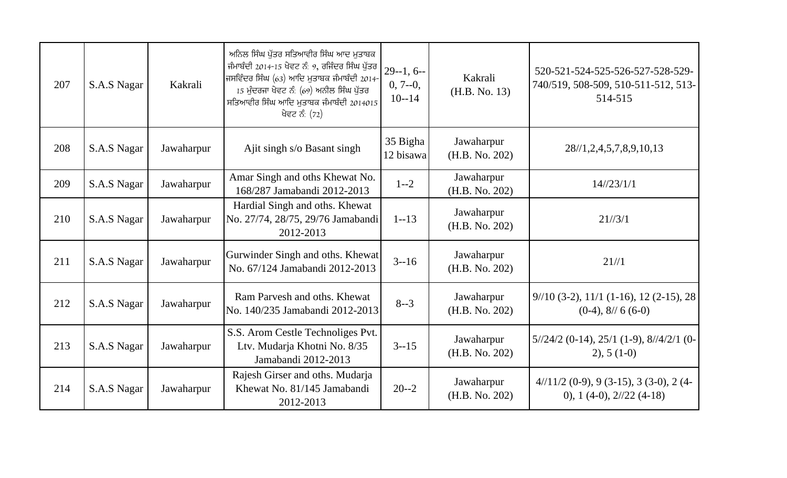| 207 | S.A.S Nagar | Kakrali    | ਅਨਿਲ ਸਿੰਘ ਪੁੱਤਰ ਸਤਿਆਵੀਰ ਸਿੰਘ ਆਦ ਮੁਤਾਬਕ<br>ਜੰਮਾਬੰਦੀ 2014-15 ਖੇਵਟ ਨੰ: 9, ਰਜਿੰਦਰ ਸਿੰਘ ਪੁੱਤਰ<br>ਜਸਵਿੰਦਰ ਸਿੰਘ (63) ਆਦਿ ਮੁਤਾਬਕ ਜੰਮਾਬੰਦੀ 2014-<br>15 ਮੁੰਦਰਜਾ ਖੇਵਟ ਨੰ: (69) ਅਨੀਲ ਸਿੰਘ ਪੁੱਤਰ<br>ਸਤਿਆਵੀਰ ਸਿੰਘ ਆਦਿ ਮੁਤਾਬਕ ਜੰਮਾਬੰਦੀ 2014015<br>ਖੋਵਟ ਨੰ: (72) | $29 - 1, 6 - 1$<br>$0, 7 - 0,$<br>$10 - 14$ | Kakrali<br>(H.B. No. 13)     | 520-521-524-525-526-527-528-529-<br>740/519, 508-509, 510-511-512, 513-<br>514-515   |
|-----|-------------|------------|--------------------------------------------------------------------------------------------------------------------------------------------------------------------------------------------------------------------------------------------------|---------------------------------------------|------------------------------|--------------------------------------------------------------------------------------|
| 208 | S.A.S Nagar | Jawaharpur | Ajit singh s/o Basant singh                                                                                                                                                                                                                      | 35 Bigha<br>12 bisawa                       | Jawaharpur<br>(H.B. No. 202) | 28/1, 2, 4, 5, 7, 8, 9, 10, 13                                                       |
| 209 | S.A.S Nagar | Jawaharpur | Amar Singh and oths Khewat No.<br>168/287 Jamabandi 2012-2013                                                                                                                                                                                    | $1 - 2$                                     | Jawaharpur<br>(H.B. No. 202) | 14/23/1/1                                                                            |
| 210 | S.A.S Nagar | Jawaharpur | Hardial Singh and oths. Khewat<br>No. 27/74, 28/75, 29/76 Jamabandi<br>2012-2013                                                                                                                                                                 | $1 - 13$                                    | Jawaharpur<br>(H.B. No. 202) | 21/3/1                                                                               |
| 211 | S.A.S Nagar | Jawaharpur | Gurwinder Singh and oths. Khewat<br>No. 67/124 Jamabandi 2012-2013                                                                                                                                                                               | $3 - 16$                                    | Jawaharpur<br>(H.B. No. 202) | 21/1                                                                                 |
| 212 | S.A.S Nagar | Jawaharpur | Ram Parvesh and oths. Khewat<br>No. 140/235 Jamabandi 2012-2013                                                                                                                                                                                  | $8 - 3$                                     | Jawaharpur<br>(H.B. No. 202) | $9/10$ (3-2), $11/1$ (1-16), 12 (2-15), 28<br>$(0-4)$ , 8// 6 $(6-0)$                |
| 213 | S.A.S Nagar | Jawaharpur | S.S. Arom Cestle Technoliges Pvt.<br>Ltv. Mudarja Khotni No. 8/35<br>Jamabandi 2012-2013                                                                                                                                                         | $3 - 15$                                    | Jawaharpur<br>(H.B. No. 202) | $5\frac{1}{24\cdot2}$ (0-14), 25/1 (1-9), $8\frac{1}{4\cdot2}$ (0-<br>$2)$ , 5 (1-0) |
| 214 | S.A.S Nagar | Jawaharpur | Rajesh Girser and oths. Mudarja<br>Khewat No. 81/145 Jamabandi<br>2012-2013                                                                                                                                                                      | $20 - 2$                                    | Jawaharpur<br>(H.B. No. 202) | $4/11/2$ (0-9), 9 (3-15), 3 (3-0), 2 (4-<br>0), 1 $(4-0)$ , $2//22(4-18)$            |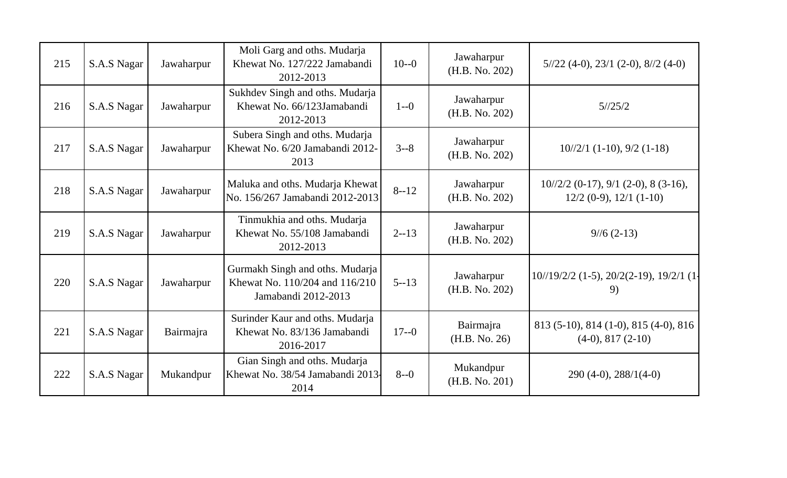| 215 | S.A.S Nagar | Jawaharpur | Moli Garg and oths. Mudarja<br>Khewat No. 127/222 Jamabandi<br>2012-2013                 | $10 - 0$ | Jawaharpur<br>(H.B. No. 202) | $5\frac{1}{22}$ (4-0), 23/1 (2-0), 8/2 (4-0)                             |
|-----|-------------|------------|------------------------------------------------------------------------------------------|----------|------------------------------|--------------------------------------------------------------------------|
| 216 | S.A.S Nagar | Jawaharpur | Sukhdev Singh and oths. Mudarja<br>Khewat No. 66/123Jamabandi<br>2012-2013               | $1 - 0$  | Jawaharpur<br>(H.B. No. 202) | 5/25/2                                                                   |
| 217 | S.A.S Nagar | Jawaharpur | Subera Singh and oths. Mudarja<br>Khewat No. 6/20 Jamabandi 2012-<br>2013                | $3 - 8$  | Jawaharpur<br>(H.B. No. 202) | $10^{1/2/1}$ (1-10), 9/2 (1-18)                                          |
| 218 | S.A.S Nagar | Jawaharpur | Maluka and oths. Mudarja Khewat<br>No. 156/267 Jamabandi 2012-2013                       | $8 - 12$ | Jawaharpur<br>(H.B. No. 202) | $10^{1/2/2}$ (0-17), 9/1 (2-0), 8 (3-16),<br>$12/2$ (0-9), $12/1$ (1-10) |
| 219 | S.A.S Nagar | Jawaharpur | Tinmukhia and oths. Mudarja<br>Khewat No. 55/108 Jamabandi<br>2012-2013                  | $2 - 13$ | Jawaharpur<br>(H.B. No. 202) | $9/6(2-13)$                                                              |
| 220 | S.A.S Nagar | Jawaharpur | Gurmakh Singh and oths. Mudarja<br>Khewat No. 110/204 and 116/210<br>Jamabandi 2012-2013 | $5 - 13$ | Jawaharpur<br>(H.B. No. 202) | $10^{1/19/2/2}$ (1-5), $20/2(2-19)$ , $19/2/1$ (1-<br>9)                 |
| 221 | S.A.S Nagar | Bairmajra  | Surinder Kaur and oths. Mudarja<br>Khewat No. 83/136 Jamabandi<br>2016-2017              | $17 - 0$ | Bairmajra<br>(H.B. No. 26)   | 813 (5-10), 814 (1-0), 815 (4-0), 816<br>$(4-0), 817(2-10)$              |
| 222 | S.A.S Nagar | Mukandpur  | Gian Singh and oths. Mudarja<br>Khewat No. 38/54 Jamabandi 2013-<br>2014                 | $8 - 0$  | Mukandpur<br>(H.B. No. 201)  | $290(4-0), 288/1(4-0)$                                                   |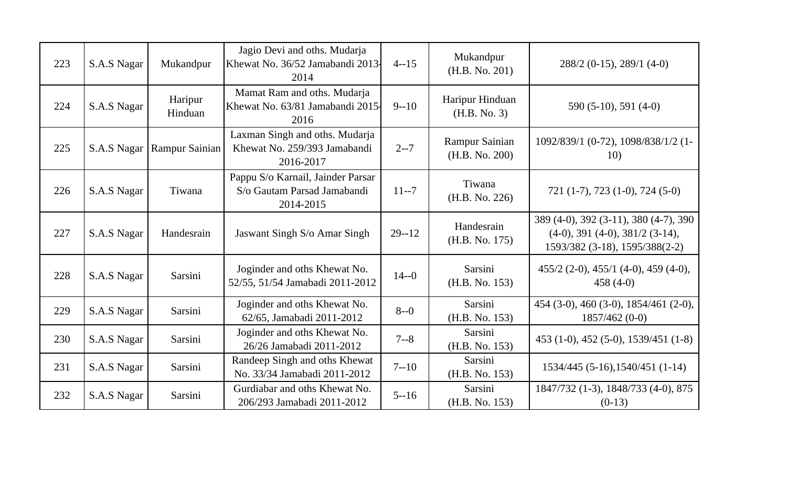| 223 | S.A.S Nagar | Mukandpur             | Jagio Devi and oths. Mudarja<br>Khewat No. 36/52 Jamabandi 2013.<br>2014      | $4 - 15$  | Mukandpur<br>(H.B. No. 201)      | $288/2$ (0-15), 289/1 (4-0)                                                                                  |
|-----|-------------|-----------------------|-------------------------------------------------------------------------------|-----------|----------------------------------|--------------------------------------------------------------------------------------------------------------|
| 224 | S.A.S Nagar | Haripur<br>Hinduan    | Mamat Ram and oths. Mudarja<br>Khewat No. 63/81 Jamabandi 2015-<br>2016       | $9 - 10$  | Haripur Hinduan<br>(H.B. No. 3)  | $590(5-10), 591(4-0)$                                                                                        |
| 225 | S.A.S Nagar | <b>Rampur Sainian</b> | Laxman Singh and oths. Mudarja<br>Khewat No. 259/393 Jamabandi<br>2016-2017   | $2 - 7$   | Rampur Sainian<br>(H.B. No. 200) | 1092/839/1 (0-72), 1098/838/1/2 (1-<br>10)                                                                   |
| 226 | S.A.S Nagar | Tiwana                | Pappu S/o Karnail, Jainder Parsar<br>S/o Gautam Parsad Jamabandi<br>2014-2015 | $11 - 7$  | Tiwana<br>(H.B. No. 226)         | 721 (1-7), 723 (1-0), 724 (5-0)                                                                              |
| 227 | S.A.S Nagar | Handesrain            | Jaswant Singh S/o Amar Singh                                                  | $29 - 12$ | Handesrain<br>(H.B. No. 175)     | 389 (4-0), 392 (3-11), 380 (4-7), 390<br>$(4-0), 391 (4-0), 381/2 (3-14),$<br>1593/382 (3-18), 1595/388(2-2) |
| 228 | S.A.S Nagar | Sarsini               | Joginder and oths Khewat No.<br>52/55, 51/54 Jamabadi 2011-2012               | $14 - 0$  | Sarsini<br>(H.B. No. 153)        | $455/2$ (2-0), $455/1$ (4-0), $459$ (4-0),<br>$458(4-0)$                                                     |
| 229 | S.A.S Nagar | Sarsini               | Joginder and oths Khewat No.<br>62/65, Jamabadi 2011-2012                     | $8 - 0$   | Sarsini<br>(H.B. No. 153)        | 454 (3-0), 460 (3-0), 1854/461 (2-0),<br>$1857/462(0-0)$                                                     |
| 230 | S.A.S Nagar | Sarsini               | Joginder and oths Khewat No.<br>26/26 Jamabadi 2011-2012                      | $7 - 8$   | Sarsini<br>(H.B. No. 153)        | 453 (1-0), 452 (5-0), 1539/451 (1-8)                                                                         |
| 231 | S.A.S Nagar | Sarsini               | Randeep Singh and oths Khewat<br>No. 33/34 Jamabadi 2011-2012                 | $7 - 10$  | Sarsini<br>(H.B. No. 153)        | $1534/445$ (5-16), 1540/451 (1-14)                                                                           |
| 232 | S.A.S Nagar | Sarsini               | Gurdiabar and oths Khewat No.<br>206/293 Jamabadi 2011-2012                   | $5 - 16$  | Sarsini<br>(H.B. No. 153)        | 1847/732 (1-3), 1848/733 (4-0), 875<br>$(0-13)$                                                              |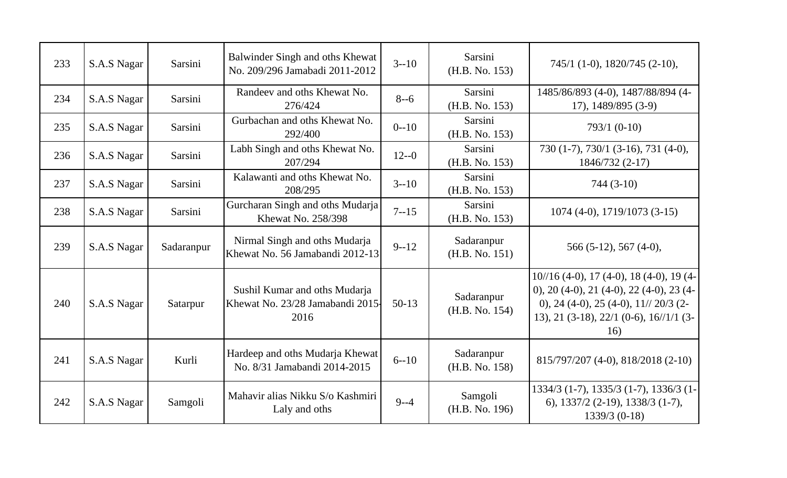| 233 | S.A.S Nagar | Sarsini    | Balwinder Singh and oths Khewat<br>No. 209/296 Jamabadi 2011-2012         | $3 - 10$ | Sarsini<br>(H.B. No. 153)    | $745/1$ (1-0), 1820/745 (2-10),                                                                                                                                                               |
|-----|-------------|------------|---------------------------------------------------------------------------|----------|------------------------------|-----------------------------------------------------------------------------------------------------------------------------------------------------------------------------------------------|
| 234 | S.A.S Nagar | Sarsini    | Randeev and oths Khewat No.<br>276/424                                    | $8 - 6$  | Sarsini<br>(H.B. No. 153)    | 1485/86/893 (4-0), 1487/88/894 (4-<br>17), 1489/895 (3-9)                                                                                                                                     |
| 235 | S.A.S Nagar | Sarsini    | Gurbachan and oths Khewat No.<br>292/400                                  | $0 - 10$ | Sarsini<br>(H.B. No. 153)    | $793/1 (0-10)$                                                                                                                                                                                |
| 236 | S.A.S Nagar | Sarsini    | Labh Singh and oths Khewat No.<br>207/294                                 | $12 - 0$ | Sarsini<br>(H.B. No. 153)    | 730 (1-7), 730/1 (3-16), 731 (4-0),<br>1846/732 (2-17)                                                                                                                                        |
| 237 | S.A.S Nagar | Sarsini    | Kalawanti and oths Khewat No.<br>208/295                                  | $3 - 10$ | Sarsini<br>(H.B. No. 153)    | $744(3-10)$                                                                                                                                                                                   |
| 238 | S.A.S Nagar | Sarsini    | Gurcharan Singh and oths Mudarja<br><b>Khewat No. 258/398</b>             | $7 - 15$ | Sarsini<br>(H.B. No. 153)    | $1074(4-0), 1719/1073(3-15)$                                                                                                                                                                  |
| 239 | S.A.S Nagar | Sadaranpur | Nirmal Singh and oths Mudarja<br>Khewat No. 56 Jamabandi 2012-13          | $9 - 12$ | Sadaranpur<br>(H.B. No. 151) | $566(5-12), 567(4-0),$                                                                                                                                                                        |
| 240 | S.A.S Nagar | Satarpur   | Sushil Kumar and oths Mudarja<br>Khewat No. 23/28 Jamabandi 2015-<br>2016 | $50-13$  | Sadaranpur<br>(H.B. No. 154) | $10^{1/16}$ (4-0), 17 (4-0), 18 (4-0), 19 (4-<br>0), 20 (4-0), 21 (4-0), 22 (4-0), 23 (4-<br>0), 24 (4-0), 25 (4-0), $11\frac{\pi}{20}$ (2-<br>13), 21 (3-18), 22/1 (0-6), 16//1/1 (3-<br>16) |
| 241 | S.A.S Nagar | Kurli      | Hardeep and oths Mudarja Khewat<br>No. 8/31 Jamabandi 2014-2015           | $6 - 10$ | Sadaranpur<br>(H.B. No. 158) | 815/797/207 (4-0), 818/2018 (2-10)                                                                                                                                                            |
| 242 | S.A.S Nagar | Samgoli    | Mahavir alias Nikku S/o Kashmiri<br>Laly and oths                         | $9 - -4$ | Samgoli<br>(H.B. No. 196)    | 1334/3 (1-7), 1335/3 (1-7), 1336/3 (1-<br>6), $1337/2$ (2-19), $1338/3$ (1-7),<br>$1339/3$ (0-18)                                                                                             |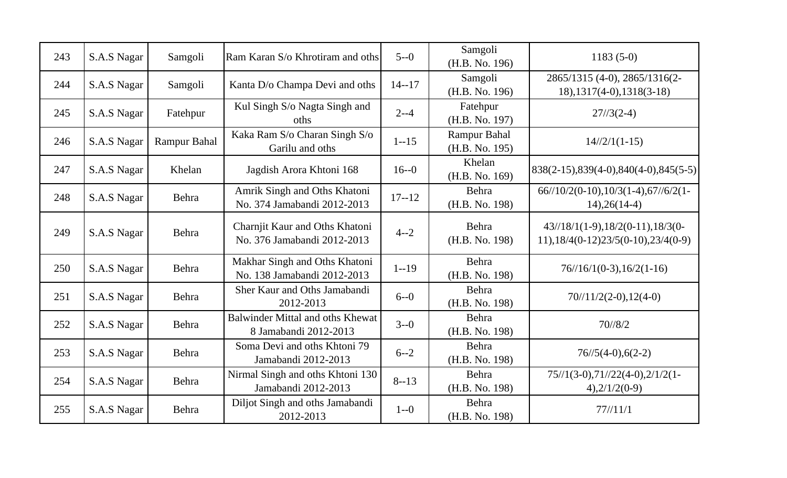| 243 | S.A.S Nagar | Samgoli             | Ram Karan S/o Khrotiram and oths                              | $5 - 0$   | Samgoli<br>(H.B. No. 196)      | $1183(5-0)$                                                                          |
|-----|-------------|---------------------|---------------------------------------------------------------|-----------|--------------------------------|--------------------------------------------------------------------------------------|
| 244 | S.A.S Nagar | Samgoli             | Kanta D/o Champa Devi and oths                                | $14 - 17$ | Samgoli<br>(H.B. No. 196)      | 2865/1315 (4-0), 2865/1316(2-<br>$18$ , $1317(4-0)$ , $1318(3-18)$                   |
| 245 | S.A.S Nagar | Fatehpur            | Kul Singh S/o Nagta Singh and<br>oths                         | $2 - -4$  | Fatehpur<br>(H.B. No. 197)     | $27/3(2-4)$                                                                          |
| 246 | S.A.S Nagar | <b>Rampur Bahal</b> | Kaka Ram S/o Charan Singh S/o<br>Garilu and oths              | $1 - 15$  | Rampur Bahal<br>(H.B. No. 195) | $14/\frac{2}{11-15}$                                                                 |
| 247 | S.A.S Nagar | Khelan              | Jagdish Arora Khtoni 168                                      | $16 - 0$  | Khelan<br>(H.B. No. 169)       | $838(2-15), 839(4-0), 840(4-0), 845(5-5)$                                            |
| 248 | S.A.S Nagar | Behra               | Amrik Singh and Oths Khatoni<br>No. 374 Jamabandi 2012-2013   | $17 - 12$ | Behra<br>(H.B. No. 198)        | $66//10/2(0-10), 10/3(1-4), 67//6/2(1-$<br>$14)$ , $26(14-4)$                        |
| 249 | S.A.S Nagar | Behra               | Charnjit Kaur and Oths Khatoni<br>No. 376 Jamabandi 2012-2013 | $4 - 2$   | Behra<br>(H.B. No. 198)        | $43/18/1(1-9), 18/2(0-11), 18/3(0-$<br>$11$ , $18/4(0-12)23/5(0-10)$ , $23/4(0-9)$   |
| 250 | S.A.S Nagar | Behra               | Makhar Singh and Oths Khatoni<br>No. 138 Jamabandi 2012-2013  | $1 - 19$  | Behra<br>(H.B. No. 198)        | $76/\frac{16}{10-3}$ , 16/2(1-16)                                                    |
| 251 | S.A.S Nagar | Behra               | Sher Kaur and Oths Jamabandi<br>2012-2013                     | $6 - 0$   | Behra<br>(H.B. No. 198)        | $70/11/2(2-0), 12(4-0)$                                                              |
| 252 | S.A.S Nagar | Behra               | Balwinder Mittal and oths Khewat<br>8 Jamabandi 2012-2013     | $3 - 0$   | Behra<br>(H.B. No. 198)        | 70/8/2                                                                               |
| 253 | S.A.S Nagar | Behra               | Soma Devi and oths Khtoni 79<br>Jamabandi 2012-2013           | $6 - -2$  | Behra<br>(H.B. No. 198)        | $76/\frac{5}{4-0}$ , 6(2-2)                                                          |
| 254 | S.A.S Nagar | Behra               | Nirmal Singh and oths Khtoni 130<br>Jamabandi 2012-2013       | $8 - 13$  | Behra<br>(H.B. No. 198)        | $75\frac{1}{3}-0$ , $71\frac{1}{22}(4-0)$ , $2\frac{1}{2}(1-$<br>$4)$ , $2/1/2(0-9)$ |
| 255 | S.A.S Nagar | Behra               | Diljot Singh and oths Jamabandi<br>2012-2013                  | $1 - 0$   | Behra<br>(H.B. No. 198)        | 77/11/1                                                                              |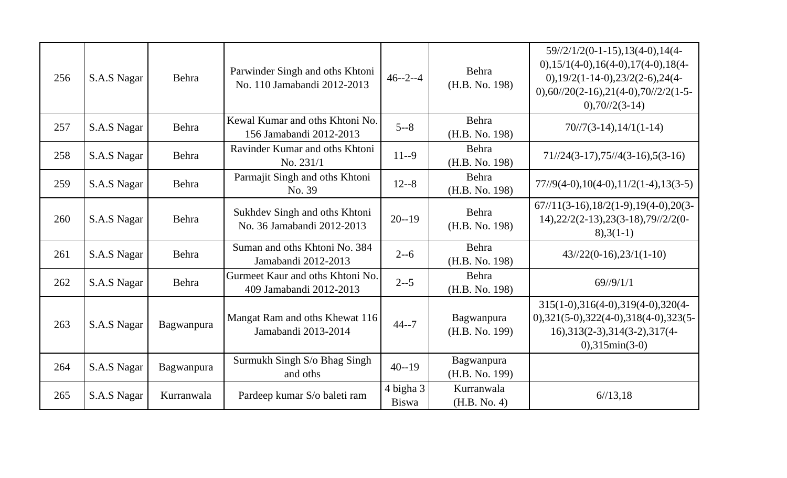| 256 | S.A.S Nagar | Behra      | Parwinder Singh and oths Khtoni<br>No. 110 Jamabandi 2012-2013 | $46 - 2 - 4$              | Behra<br>(H.B. No. 198)      | $59\frac{1}{2}\frac{1}{2}(0-1-15), 13(4-0), 14(4-1)$<br>$0,15/1(4-0),16(4-0),17(4-0),18(4-$<br>$0,19/2(1-14-0),23/2(2-6),24(4-$<br>$0,60/20(2-16),21(4-0),70/2/2(1-5-$<br>$0,70/72(3-14)$ |
|-----|-------------|------------|----------------------------------------------------------------|---------------------------|------------------------------|-------------------------------------------------------------------------------------------------------------------------------------------------------------------------------------------|
| 257 | S.A.S Nagar | Behra      | Kewal Kumar and oths Khtoni No.<br>156 Jamabandi 2012-2013     | $5 - 8$                   | Behra<br>(H.B. No. 198)      | $70/7(3-14), 14/1(1-14)$                                                                                                                                                                  |
| 258 | S.A.S Nagar | Behra      | Ravinder Kumar and oths Khtoni<br>No. 231/1                    | $11 - 9$                  | Behra<br>(H.B. No. 198)      | $71//24(3-17),75//4(3-16),5(3-16)$                                                                                                                                                        |
| 259 | S.A.S Nagar | Behra      | Parmajit Singh and oths Khtoni<br>No. 39                       | $12 - 8$                  | Behra<br>(H.B. No. 198)      | $77\frac{1}{9}(4-0), 10(4-0), 11\frac{2}{1-4}, 13(3-5)$                                                                                                                                   |
| 260 | S.A.S Nagar | Behra      | Sukhdev Singh and oths Khtoni<br>No. 36 Jamabandi 2012-2013    | $20 - 19$                 | Behra<br>(H.B. No. 198)      | $67 \frac{1}{13} - 16$ , $18 \frac{2(1-9)}{19(4-0)}$ , $20(3-1)$<br>$14)$ , $22/2(2-13)$ , $23(3-18)$ , $79$ // $2/2(0-1)$<br>$8,3(1-1)$                                                  |
| 261 | S.A.S Nagar | Behra      | Suman and oths Khtoni No. 384<br>Jamabandi 2012-2013           | $2 - -6$                  | Behra<br>(H.B. No. 198)      | $43/22(0-16), 23/1(1-10)$                                                                                                                                                                 |
| 262 | S.A.S Nagar | Behra      | Gurmeet Kaur and oths Khtoni No.<br>409 Jamabandi 2012-2013    | $2 - -5$                  | Behra<br>(H.B. No. 198)      | $69$ //9/1/1                                                                                                                                                                              |
| 263 | S.A.S Nagar | Bagwanpura | Mangat Ram and oths Khewat 116<br>Jamabandi 2013-2014          | $44 - 7$                  | Bagwanpura<br>(H.B. No. 199) | $315(1-0), 316(4-0), 319(4-0), 320(4-$<br>$0$ , 321(5-0), 322(4-0), 318(4-0), 323(5-<br>$16$ , 313(2-3), 314(3-2), 317(4-<br>$0,315$ min(3-0)                                             |
| 264 | S.A.S Nagar | Bagwanpura | Surmukh Singh S/o Bhag Singh<br>and oths                       | $40 - 19$                 | Bagwanpura<br>(H.B. No. 199) |                                                                                                                                                                                           |
| 265 | S.A.S Nagar | Kurranwala | Pardeep kumar S/o baleti ram                                   | 4 bigha 3<br><b>Biswa</b> | Kurranwala<br>(H.B. No. 4)   | 6/13,18                                                                                                                                                                                   |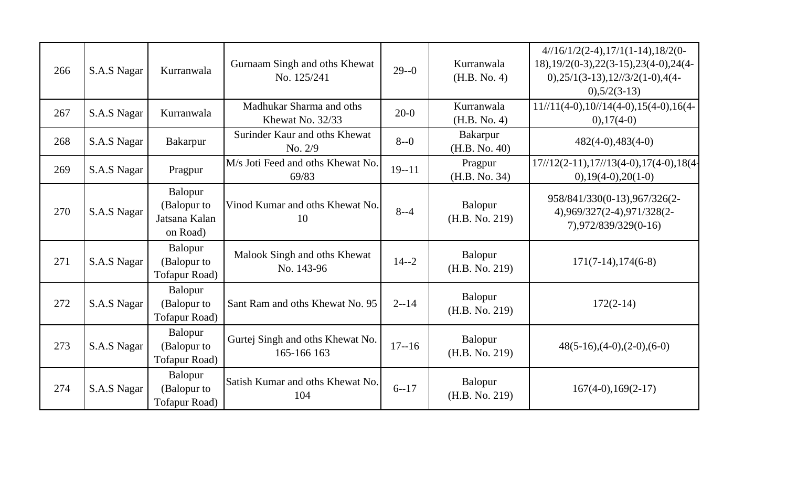| 266 | S.A.S Nagar | Kurranwala                                          | Gurnaam Singh and oths Khewat<br>No. 125/241    | $29 - 0$  | Kurranwala<br>(H.B. No. 4)       | $4/16/1/2(2-4), 17/1(1-14), 18/2(0-$<br>$18$ , $19/2(0-3)$ , $22(3-15)$ , $23(4-0)$ , $24(4-1)$<br>$0,25/1(3-13),12/3/2(1-0),4(4-$<br>$0,5/2(3-13)$ |
|-----|-------------|-----------------------------------------------------|-------------------------------------------------|-----------|----------------------------------|-----------------------------------------------------------------------------------------------------------------------------------------------------|
| 267 | S.A.S Nagar | Kurranwala                                          | Madhukar Sharma and oths<br>Khewat No. 32/33    | $20-0$    | Kurranwala<br>(H.B. No. 4)       | $11//11(4-0), 10//14(4-0), 15(4-0), 16(4-$<br>$(0), 17(4-0)$                                                                                        |
| 268 | S.A.S Nagar | Bakarpur                                            | Surinder Kaur and oths Khewat<br>No. 2/9        | $8 - 0$   | <b>Bakarpur</b><br>(H.B. No. 40) | $482(4-0), 483(4-0)$                                                                                                                                |
| 269 | S.A.S Nagar | Pragpur                                             | M/s Joti Feed and oths Khewat No.<br>69/83      | $19 - 11$ | Pragpur<br>(H.B. No. 34)         | $17/\frac{12(2-11)}{17/\frac{13(4-0)}{17(4-0)}}$ , 18(4-<br>$0,19(4-0),20(1-0)$                                                                     |
| 270 | S.A.S Nagar | Balopur<br>(Balopur to<br>Jatsana Kalan<br>on Road) | Vinod Kumar and oths Khewat No.<br>10           | $8 - -4$  | Balopur<br>(H.B. No. 219)        | 958/841/330(0-13), 967/326(2-<br>4),969/327(2-4),971/328(2-<br>7),972/839/329(0-16)                                                                 |
| 271 | S.A.S Nagar | Balopur<br>(Balopur to<br><b>Tofapur Road</b> )     | Malook Singh and oths Khewat<br>No. 143-96      | $14 - 2$  | Balopur<br>(H.B. No. 219)        | $171(7-14), 174(6-8)$                                                                                                                               |
| 272 | S.A.S Nagar | Balopur<br>(Balopur to<br>Tofapur Road)             | Sant Ram and oths Khewat No. 95                 | $2 - 14$  | Balopur<br>(H.B. No. 219)        | $172(2-14)$                                                                                                                                         |
| 273 | S.A.S Nagar | Balopur<br>(Balopur to<br><b>Tofapur Road</b> )     | Gurtej Singh and oths Khewat No.<br>165-166 163 | $17 - 16$ | Balopur<br>(H.B. No. 219)        | $48(5-16),(4-0),(2-0),(6-0)$                                                                                                                        |
| 274 | S.A.S Nagar | Balopur<br>(Balopur to<br><b>Tofapur Road</b> )     | Satish Kumar and oths Khewat No.<br>104         | $6 - 17$  | Balopur<br>(H.B. No. 219)        | $167(4-0), 169(2-17)$                                                                                                                               |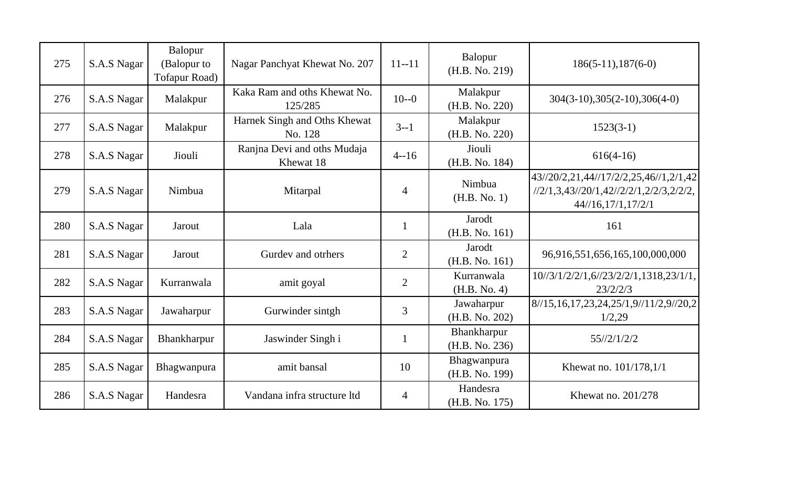| 275 | S.A.S Nagar | Balopur<br>(Balopur to<br><b>Tofapur Road)</b> | Nagar Panchyat Khewat No. 207            | $11 - 11$      | Balopur<br>(H.B. No. 219)     | $186(5-11), 187(6-0)$                                                                                         |
|-----|-------------|------------------------------------------------|------------------------------------------|----------------|-------------------------------|---------------------------------------------------------------------------------------------------------------|
| 276 | S.A.S Nagar | Malakpur                                       | Kaka Ram and oths Khewat No.<br>125/285  | $10 - 0$       | Malakpur<br>(H.B. No. 220)    | $304(3-10), 305(2-10), 306(4-0)$                                                                              |
| 277 | S.A.S Nagar | Malakpur                                       | Harnek Singh and Oths Khewat<br>No. 128  | $3 - 1$        | Malakpur<br>(H.B. No. 220)    | $1523(3-1)$                                                                                                   |
| 278 | S.A.S Nagar | Jiouli                                         | Ranjna Devi and oths Mudaja<br>Khewat 18 | $4 - 16$       | Jiouli<br>(H.B. No. 184)      | $616(4-16)$                                                                                                   |
| 279 | S.A.S Nagar | Nimbua                                         | Mitarpal                                 | $\overline{4}$ | Nimbua<br>(H.B. No. 1)        | 43//20/2,21,44//17/2/2,25,46//1,2/1,42<br>$1/2/1, 3, 43/20/1, 42/2/2/1, 2/2/3, 2/2/2,$<br>44/16, 17/1, 17/2/1 |
| 280 | S.A.S Nagar | Jarout                                         | Lala                                     | $\mathbf{1}$   | Jarodt<br>(H.B. No. 161)      | 161                                                                                                           |
| 281 | S.A.S Nagar | Jarout                                         | Gurdev and otrhers                       | $\overline{2}$ | Jarodt<br>(H.B. No. 161)      | 96,916,551,656,165,100,000,000                                                                                |
| 282 | S.A.S Nagar | Kurranwala                                     | amit goyal                               | $\overline{2}$ | Kurranwala<br>(H.B. No. 4)    | 10//3/1/2/2/1,6//23/2/2/1,1318,23/1/1,<br>23/2/2/3                                                            |
| 283 | S.A.S Nagar | Jawaharpur                                     | Gurwinder sintgh                         | 3              | Jawaharpur<br>(H.B. No. 202)  | 8/15,16,17,23,24,25/1,9/11/2,9/20,2<br>1/2,29                                                                 |
| 284 | S.A.S Nagar | Bhankharpur                                    | Jaswinder Singh i                        | $\mathbf{1}$   | Bhankharpur<br>(H.B. No. 236) | 55/2/1/2/2                                                                                                    |
| 285 | S.A.S Nagar | Bhagwanpura                                    | amit bansal                              | 10             | Bhagwanpura<br>(H.B. No. 199) | Khewat no. 101/178,1/1                                                                                        |
| 286 | S.A.S Nagar | Handesra                                       | Vandana infra structure ltd              | $\overline{4}$ | Handesra<br>(H.B. No. 175)    | Khewat no. 201/278                                                                                            |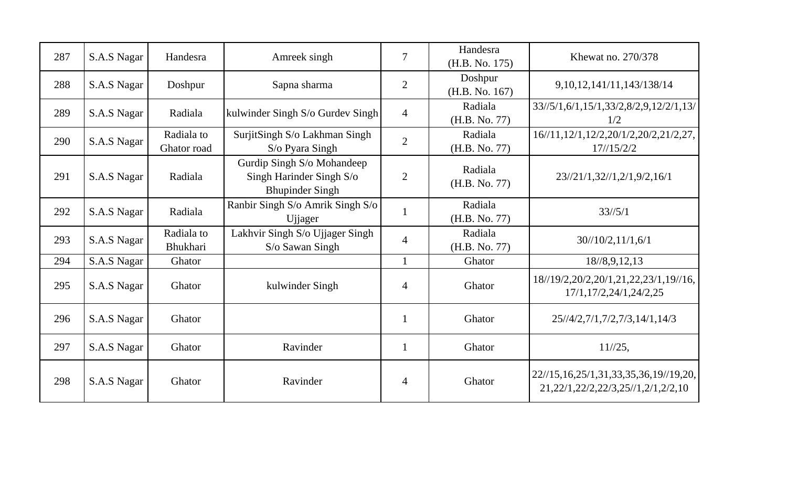| 287 | S.A.S Nagar | Handesra                  | Amreek singh                                                                     | $\overline{7}$ | Handesra<br>(H.B. No. 175) | Khewat no. 270/378                                                                                                                                                                                                                                                                                                  |
|-----|-------------|---------------------------|----------------------------------------------------------------------------------|----------------|----------------------------|---------------------------------------------------------------------------------------------------------------------------------------------------------------------------------------------------------------------------------------------------------------------------------------------------------------------|
| 288 | S.A.S Nagar | Doshpur                   | Sapna sharma                                                                     | $\overline{2}$ | Doshpur<br>(H.B. No. 167)  | 9, 10, 12, 141/11, 143/138/14                                                                                                                                                                                                                                                                                       |
| 289 | S.A.S Nagar | Radiala                   | kulwinder Singh S/o Gurdev Singh                                                 | $\overline{4}$ | Radiala<br>(H.B. No. 77)   | 33//5/1,6/1,15/1,33/2,8/2,9,12/2/1,13/<br>1/2                                                                                                                                                                                                                                                                       |
| 290 | S.A.S Nagar | Radiala to<br>Ghator road | SurjitSingh S/o Lakhman Singh<br>S/o Pyara Singh                                 | $\overline{2}$ | Radiala<br>(H.B. No. 77)   | 16//11,12/1,12/2,20/1/2,20/2,21/2,27,<br>17/15/2/2                                                                                                                                                                                                                                                                  |
| 291 | S.A.S Nagar | Radiala                   | Gurdip Singh S/o Mohandeep<br>Singh Harinder Singh S/o<br><b>Bhupinder Singh</b> | $\overline{2}$ | Radiala<br>(H.B. No. 77)   | 23//21/1,32//1,2/1,9/2,16/1                                                                                                                                                                                                                                                                                         |
| 292 | S.A.S Nagar | Radiala                   | Ranbir Singh S/o Amrik Singh S/o<br>Ujjager                                      |                | Radiala<br>(H.B. No. 77)   | $33\frac{1}{5}$                                                                                                                                                                                                                                                                                                     |
| 293 | S.A.S Nagar | Radiala to<br>Bhukhari    | Lakhvir Singh S/o Ujjager Singh<br>S/o Sawan Singh                               | $\overline{4}$ | Radiala<br>(H.B. No. 77)   | 30/10/2, 11/1, 6/1                                                                                                                                                                                                                                                                                                  |
| 294 | S.A.S Nagar | Ghator                    |                                                                                  |                | Ghator                     | 18/8, 9, 12, 13                                                                                                                                                                                                                                                                                                     |
| 295 | S.A.S Nagar | Ghator                    | kulwinder Singh                                                                  | $\overline{4}$ | Ghator                     | 18//19/2,20/2,20/1,21,22,23/1,19//16,<br>17/1, 17/2, 24/1, 24/2, 25                                                                                                                                                                                                                                                 |
| 296 | S.A.S Nagar | Ghator                    |                                                                                  | $\mathbf{1}$   | Ghator                     | 25//4/2,7/1,7/2,7/3,14/1,14/3                                                                                                                                                                                                                                                                                       |
| 297 | S.A.S Nagar | Ghator                    | Ravinder                                                                         |                | Ghator                     | $11^{1/25}$ ,                                                                                                                                                                                                                                                                                                       |
| 298 | S.A.S Nagar | Ghator                    | Ravinder                                                                         | $\overline{4}$ | Ghator                     | $22\frac{1}{5}, 16, 25\frac{1}{3}, 33, 35, 36, 19\frac{1}{9}, 20, 16, 25\frac{1}{10}, 33, 35, 35, 36, 19\frac{1}{10}, 20, 16, 25\frac{1}{10}, 25, 16, 25\frac{1}{10}, 25, 25, 35, 36, 19\frac{1}{10}, 20, 16, 25, 25, 36, 36, 37, 49, 20, 16, 25, 26, 27, 28, 29, 20,$<br>21, 22/1, 22/2, 22/3, 25//1, 2/1, 2/2, 10 |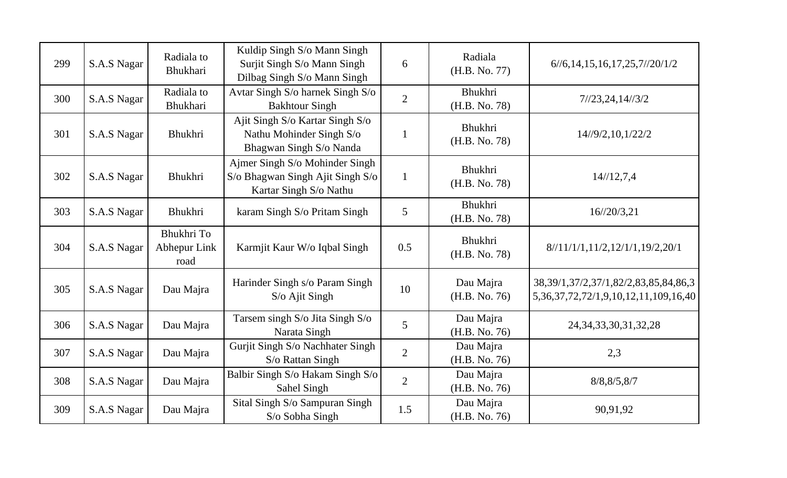| 299 | S.A.S Nagar | Radiala to<br>Bhukhari             | Kuldip Singh S/o Mann Singh<br>Surjit Singh S/o Mann Singh                                   | 6              | Radiala<br>(H.B. No. 77)   | $6/\frac{6}{14}$ , 15, 16, 17, 25, 7//20/1/2                                                     |
|-----|-------------|------------------------------------|----------------------------------------------------------------------------------------------|----------------|----------------------------|--------------------------------------------------------------------------------------------------|
| 300 | S.A.S Nagar | Radiala to<br><b>Bhukhari</b>      | Dilbag Singh S/o Mann Singh<br>Avtar Singh S/o harnek Singh S/o<br><b>Bakhtour Singh</b>     | $\overline{2}$ | Bhukhri<br>(H.B. No. 78)   | 7/23,24,14/3/2                                                                                   |
| 301 | S.A.S Nagar | Bhukhri                            | Ajit Singh S/o Kartar Singh S/o<br>Nathu Mohinder Singh S/o<br>Bhagwan Singh S/o Nanda       | $\mathbf{1}$   | Bhukhri<br>(H.B. No. 78)   | 14/9/2, 10, 1/22/2                                                                               |
| 302 | S.A.S Nagar | Bhukhri                            | Ajmer Singh S/o Mohinder Singh<br>S/o Bhagwan Singh Ajit Singh S/o<br>Kartar Singh S/o Nathu | $\mathbf{1}$   | Bhukhri<br>(H.B. No. 78)   | 14/12,7,4                                                                                        |
| 303 | S.A.S Nagar | Bhukhri                            | karam Singh S/o Pritam Singh                                                                 | 5              | Bhukhri<br>(H.B. No. 78)   | $16/\frac{20}{3}$ , 21                                                                           |
| 304 | S.A.S Nagar | Bhukhri To<br>Abhepur Link<br>road | Karmjit Kaur W/o Iqbal Singh                                                                 | 0.5            | Bhukhri<br>(H.B. No. 78)   | 8/11/1/1, 11/2, 12/1/1, 19/2, 20/1                                                               |
| 305 | S.A.S Nagar | Dau Majra                          | Harinder Singh s/o Param Singh<br>S/o Ajit Singh                                             | 10             | Dau Majra<br>(H.B. No. 76) | 38, 39/1, 37/2, 37/1, 82/2, 83, 85, 84, 86, 3<br>5, 36, 37, 72, 72/1, 9, 10, 12, 11, 109, 16, 40 |
| 306 | S.A.S Nagar | Dau Majra                          | Tarsem singh S/o Jita Singh S/o<br>Narata Singh                                              | 5              | Dau Majra<br>(H.B. No. 76) | 24, 34, 33, 30, 31, 32, 28                                                                       |
| 307 | S.A.S Nagar | Dau Majra                          | Gurjit Singh S/o Nachhater Singh<br>S/o Rattan Singh                                         | $\overline{2}$ | Dau Majra<br>(H.B. No. 76) | 2,3                                                                                              |
| 308 | S.A.S Nagar | Dau Majra                          | Balbir Singh S/o Hakam Singh S/o<br>Sahel Singh                                              | $\overline{2}$ | Dau Majra<br>(H.B. No. 76) | 8/8, 8/5, 8/7                                                                                    |
| 309 | S.A.S Nagar | Dau Majra                          | Sital Singh S/o Sampuran Singh<br>S/o Sobha Singh                                            | 1.5            | Dau Majra<br>(H.B. No. 76) | 90,91,92                                                                                         |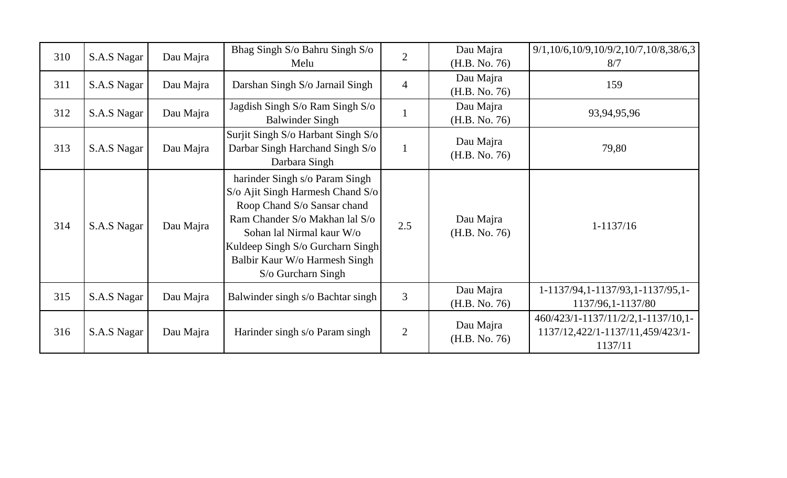| 310 | S.A.S Nagar | Dau Majra | Bhag Singh S/o Bahru Singh S/o     | $\overline{2}$ | Dau Majra                  | $9/1, 10/6, 10/9, 10/9/2, 10/7, 10/8, 38/6, 3$ |
|-----|-------------|-----------|------------------------------------|----------------|----------------------------|------------------------------------------------|
|     |             |           | Melu                               |                | (H.B. No. 76)              | 8/7                                            |
| 311 | S.A.S Nagar | Dau Majra | Darshan Singh S/o Jarnail Singh    | $\overline{4}$ | Dau Majra                  | 159                                            |
|     |             |           |                                    |                | (H.B. No. 76)              |                                                |
|     |             |           | Jagdish Singh S/o Ram Singh S/o    |                | Dau Majra                  |                                                |
| 312 | S.A.S Nagar | Dau Majra | <b>Balwinder Singh</b>             |                | (H.B. No. 76)              | 93,94,95,96                                    |
|     |             |           | Surjit Singh S/o Harbant Singh S/o |                | Dau Majra                  |                                                |
| 313 | S.A.S Nagar | Dau Majra | Darbar Singh Harchand Singh S/o    |                | (H.B. No. 76)              | 79,80                                          |
|     |             |           | Darbara Singh                      |                |                            |                                                |
|     | S.A.S Nagar | Dau Majra | harinder Singh s/o Param Singh     |                |                            |                                                |
|     |             |           | S/o Ajit Singh Harmesh Chand S/o   |                |                            |                                                |
|     |             |           | Roop Chand S/o Sansar chand        | 2.5            | Dau Majra<br>(H.B. No. 76) | $1-1137/16$                                    |
|     |             |           | Ram Chander S/o Makhan lal S/o     |                |                            |                                                |
| 314 |             |           | Sohan lal Nirmal kaur W/o          |                |                            |                                                |
|     |             |           | Kuldeep Singh S/o Gurcharn Singh   |                |                            |                                                |
|     |             |           | Balbir Kaur W/o Harmesh Singh      |                |                            |                                                |
|     |             |           | S/o Gurcharn Singh                 |                |                            |                                                |
|     |             |           |                                    |                | Dau Majra                  | 1-1137/94, 1-1137/93, 1-1137/95, 1-            |
| 315 | S.A.S Nagar | Dau Majra | Balwinder singh s/o Bachtar singh  | 3              | (H.B. No. 76)              | 1137/96, 1-1137/80                             |
|     |             |           |                                    |                |                            |                                                |
|     |             | Dau Majra | Harinder singh s/o Param singh     | $\overline{2}$ | Dau Majra<br>(H.B. No. 76) | 460/423/1-1137/11/2/2,1-1137/10,1-             |
| 316 | S.A.S Nagar |           |                                    |                |                            | 1137/12,422/1-1137/11,459/423/1-               |
|     |             |           |                                    |                |                            | 1137/11                                        |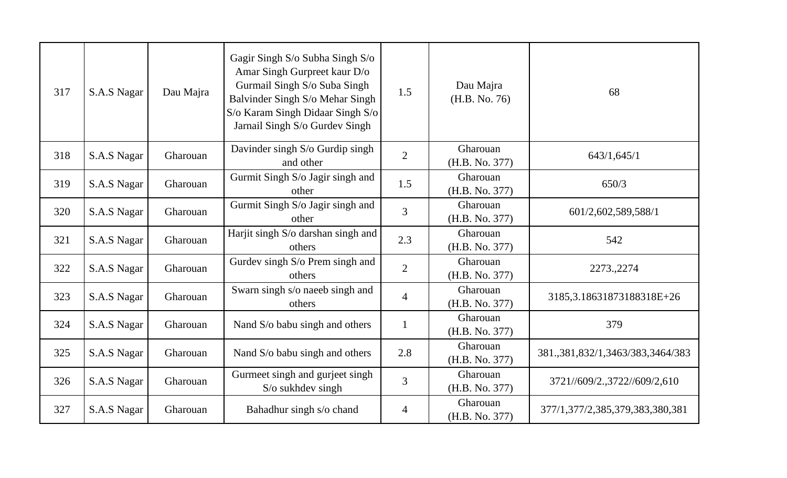| 317 | S.A.S Nagar | Dau Majra | Gagir Singh S/o Subha Singh S/o<br>Amar Singh Gurpreet kaur D/o<br>Gurmail Singh S/o Suba Singh<br>Balvinder Singh S/o Mehar Singh<br>S/o Karam Singh Didaar Singh S/o<br>Jarnail Singh S/o Gurdev Singh | 1.5            | Dau Majra<br>(H.B. No. 76) | 68                                  |
|-----|-------------|-----------|----------------------------------------------------------------------------------------------------------------------------------------------------------------------------------------------------------|----------------|----------------------------|-------------------------------------|
| 318 | S.A.S Nagar | Gharouan  | Davinder singh S/o Gurdip singh<br>and other                                                                                                                                                             | $\overline{2}$ | Gharouan<br>(H.B. No. 377) | 643/1,645/1                         |
| 319 | S.A.S Nagar | Gharouan  | Gurmit Singh S/o Jagir singh and<br>other                                                                                                                                                                | 1.5            | Gharouan<br>(H.B. No. 377) | 650/3                               |
| 320 | S.A.S Nagar | Gharouan  | Gurmit Singh S/o Jagir singh and<br>other                                                                                                                                                                | 3              | Gharouan<br>(H.B. No. 377) | 601/2,602,589,588/1                 |
| 321 | S.A.S Nagar | Gharouan  | Harjit singh S/o darshan singh and<br>others                                                                                                                                                             | 2.3            | Gharouan<br>(H.B. No. 377) | 542                                 |
| 322 | S.A.S Nagar | Gharouan  | Gurdev singh S/o Prem singh and<br>others                                                                                                                                                                | $\overline{2}$ | Gharouan<br>(H.B. No. 377) | 2273., 2274                         |
| 323 | S.A.S Nagar | Gharouan  | Swarn singh s/o naeeb singh and<br>others                                                                                                                                                                | $\overline{4}$ | Gharouan<br>(H.B. No. 377) | 3185, 3.18631873188318E+26          |
| 324 | S.A.S Nagar | Gharouan  | Nand S/o babu singh and others                                                                                                                                                                           | $\mathbf{1}$   | Gharouan<br>(H.B. No. 377) | 379                                 |
| 325 | S.A.S Nagar | Gharouan  | Nand S/o babu singh and others                                                                                                                                                                           | 2.8            | Gharouan<br>(H.B. No. 377) | 381, 381, 832/1, 3463/383, 3464/383 |
| 326 | S.A.S Nagar | Gharouan  | Gurmeet singh and gurjeet singh<br>$S/\sigma$ sukhdev singh                                                                                                                                              | 3              | Gharouan<br>(H.B. No. 377) | 3721//609/2.,3722//609/2,610        |
| 327 | S.A.S Nagar | Gharouan  | Bahadhur singh s/o chand                                                                                                                                                                                 | 4              | Gharouan<br>(H.B. No. 377) | 377/1,377/2,385,379,383,380,381     |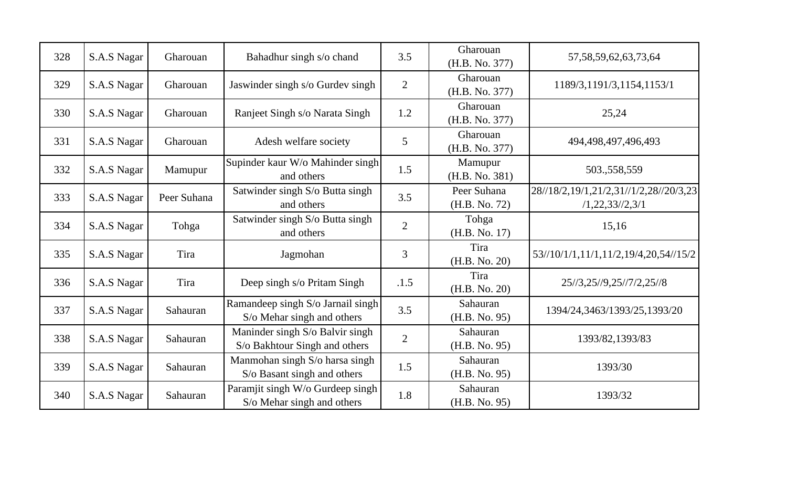| 328 | S.A.S Nagar | Gharouan    | Bahadhur singh s/o chand                                         | 3.5            | Gharouan<br>(H.B. No. 377)   | 57, 58, 59, 62, 63, 73, 64                               |
|-----|-------------|-------------|------------------------------------------------------------------|----------------|------------------------------|----------------------------------------------------------|
| 329 | S.A.S Nagar | Gharouan    | Jaswinder singh s/o Gurdev singh                                 | $\overline{2}$ | Gharouan<br>(H.B. No. 377)   | 1189/3,1191/3,1154,1153/1                                |
| 330 | S.A.S Nagar | Gharouan    | Ranjeet Singh s/o Narata Singh                                   | 1.2            | Gharouan<br>(H.B. No. 377)   | 25,24                                                    |
| 331 | S.A.S Nagar | Gharouan    | Adesh welfare society                                            | 5              | Gharouan<br>(H.B. No. 377)   | 494,498,497,496,493                                      |
| 332 | S.A.S Nagar | Mamupur     | Supinder kaur W/o Mahinder singh<br>and others                   | 1.5            | Mamupur<br>(H.B. No. 381)    | 503.,558,559                                             |
| 333 | S.A.S Nagar | Peer Suhana | Satwinder singh S/o Butta singh<br>and others                    | 3.5            | Peer Suhana<br>(H.B. No. 72) | 28//18/2,19/1,21/2,31//1/2,28//20/3,23<br>/1,22,33/2,3/1 |
| 334 | S.A.S Nagar | Tohga       | Satwinder singh S/o Butta singh<br>and others                    | $\overline{2}$ | Tohga<br>(H.B. No. 17)       | 15,16                                                    |
| 335 | S.A.S Nagar | Tira        | Jagmohan                                                         | 3              | Tira<br>(H.B. No. 20)        | 53//10/1/1,11/1,11/2,19/4,20,54//15/2                    |
| 336 | S.A.S Nagar | Tira        | Deep singh s/o Pritam Singh                                      | .1.5           | Tira<br>(H.B. No. 20)        | 25//3,25//9,25//7/2,25//8                                |
| 337 | S.A.S Nagar | Sahauran    | Ramandeep singh S/o Jarnail singh<br>S/o Mehar singh and others  | 3.5            | Sahauran<br>(H.B. No. 95)    | 1394/24,3463/1393/25,1393/20                             |
| 338 | S.A.S Nagar | Sahauran    | Maninder singh S/o Balvir singh<br>S/o Bakhtour Singh and others | $\overline{2}$ | Sahauran<br>(H.B. No. 95)    | 1393/82,1393/83                                          |
| 339 | S.A.S Nagar | Sahauran    | Manmohan singh S/o harsa singh<br>S/o Basant singh and others    | 1.5            | Sahauran<br>(H.B. No. 95)    | 1393/30                                                  |
| 340 | S.A.S Nagar | Sahauran    | Paramjit singh W/o Gurdeep singh<br>S/o Mehar singh and others   | 1.8            | Sahauran<br>(H.B. No. 95)    | 1393/32                                                  |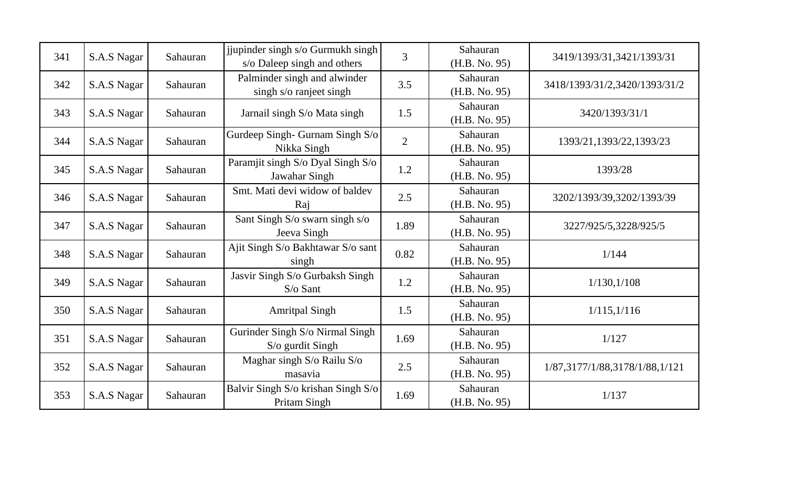| 341 | S.A.S Nagar | Sahauran | jjupinder singh s/o Gurmukh singh<br>s/o Daleep singh and others | 3              | Sahauran<br>(H.B. No. 95) | 3419/1393/31,3421/1393/31      |
|-----|-------------|----------|------------------------------------------------------------------|----------------|---------------------------|--------------------------------|
| 342 | S.A.S Nagar | Sahauran | Palminder singh and alwinder<br>singh s/o ranjeet singh          | 3.5            | Sahauran<br>(H.B. No. 95) | 3418/1393/31/2,3420/1393/31/2  |
| 343 | S.A.S Nagar | Sahauran | Jarnail singh S/o Mata singh                                     | 1.5            | Sahauran<br>(H.B. No. 95) | 3420/1393/31/1                 |
| 344 | S.A.S Nagar | Sahauran | Gurdeep Singh-Gurnam Singh S/o<br>Nikka Singh                    | $\overline{2}$ | Sahauran<br>(H.B. No. 95) | 1393/21, 1393/22, 1393/23      |
| 345 | S.A.S Nagar | Sahauran | Paramjit singh S/o Dyal Singh S/o<br>Jawahar Singh               | 1.2            | Sahauran<br>(H.B. No. 95) | 1393/28                        |
| 346 | S.A.S Nagar | Sahauran | Smt. Mati devi widow of baldev<br>Raj                            | 2.5            | Sahauran<br>(H.B. No. 95) | 3202/1393/39,3202/1393/39      |
| 347 | S.A.S Nagar | Sahauran | Sant Singh S/o swarn singh s/o<br>Jeeva Singh                    | 1.89           | Sahauran<br>(H.B. No. 95) | 3227/925/5,3228/925/5          |
| 348 | S.A.S Nagar | Sahauran | Ajit Singh S/o Bakhtawar S/o sant<br>singh                       | 0.82           | Sahauran<br>(H.B. No. 95) | 1/144                          |
| 349 | S.A.S Nagar | Sahauran | Jasvir Singh S/o Gurbaksh Singh<br>$S$ /o Sant                   | 1.2            | Sahauran<br>(H.B. No. 95) | 1/130, 1/108                   |
| 350 | S.A.S Nagar | Sahauran | <b>Amritpal Singh</b>                                            | 1.5            | Sahauran<br>(H.B. No. 95) | 1/115,1/116                    |
| 351 | S.A.S Nagar | Sahauran | Gurinder Singh S/o Nirmal Singh<br>S/o gurdit Singh              | 1.69           | Sahauran<br>(H.B. No. 95) | 1/127                          |
| 352 | S.A.S Nagar | Sahauran | Maghar singh S/o Railu S/o<br>masavia                            | 2.5            | Sahauran<br>(H.B. No. 95) | 1/87,3177/1/88,3178/1/88,1/121 |
| 353 | S.A.S Nagar | Sahauran | Balvir Singh S/o krishan Singh S/o<br>Pritam Singh               | 1.69           | Sahauran<br>(H.B. No. 95) | 1/137                          |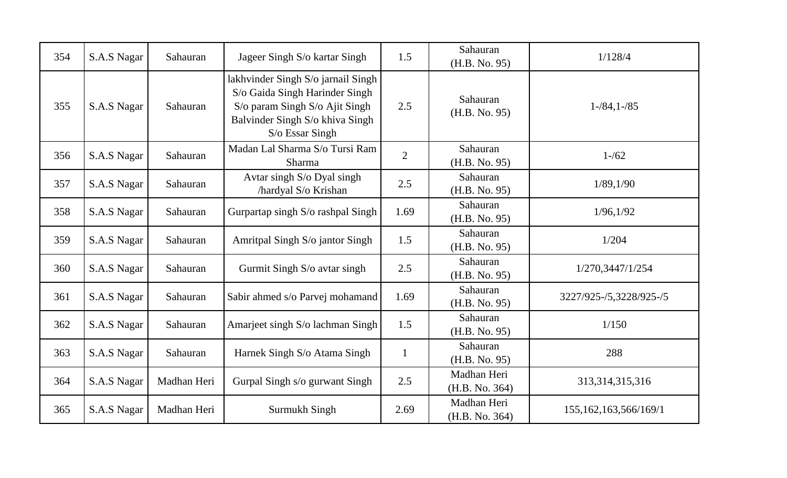| 354 | S.A.S Nagar | Sahauran    | Jageer Singh S/o kartar Singh                                                                                                                                | 1.5            | Sahauran<br>(H.B. No. 95)     | 1/128/4                  |
|-----|-------------|-------------|--------------------------------------------------------------------------------------------------------------------------------------------------------------|----------------|-------------------------------|--------------------------|
| 355 | S.A.S Nagar | Sahauran    | lakhvinder Singh S/o jarnail Singh<br>S/o Gaida Singh Harinder Singh<br>S/o param Singh S/o Ajit Singh<br>Balvinder Singh S/o khiva Singh<br>S/o Essar Singh | 2.5            | Sahauran<br>(H.B. No. 95)     | $1 - 84, 1 - 85$         |
| 356 | S.A.S Nagar | Sahauran    | Madan Lal Sharma S/o Tursi Ram<br>Sharma                                                                                                                     | $\overline{2}$ | Sahauran<br>(H.B. No. 95)     | $1 - 62$                 |
| 357 | S.A.S Nagar | Sahauran    | Avtar singh S/o Dyal singh<br>/hardyal S/o Krishan                                                                                                           | 2.5            | Sahauran<br>(H.B. No. 95)     | 1/89, 1/90               |
| 358 | S.A.S Nagar | Sahauran    | Gurpartap singh S/o rashpal Singh                                                                                                                            | 1.69           | Sahauran<br>(H.B. No. 95)     | 1/96, 1/92               |
| 359 | S.A.S Nagar | Sahauran    | Amritpal Singh S/o jantor Singh                                                                                                                              | 1.5            | Sahauran<br>(H.B. No. 95)     | 1/204                    |
| 360 | S.A.S Nagar | Sahauran    | Gurmit Singh S/o avtar singh                                                                                                                                 | 2.5            | Sahauran<br>(H.B. No. 95)     | 1/270,3447/1/254         |
| 361 | S.A.S Nagar | Sahauran    | Sabir ahmed s/o Parvej mohamand                                                                                                                              | 1.69           | Sahauran<br>(H.B. No. 95)     | 3227/925-/5,3228/925-/5  |
| 362 | S.A.S Nagar | Sahauran    | Amarjeet singh S/o lachman Singh                                                                                                                             | 1.5            | Sahauran<br>(H.B. No. 95)     | 1/150                    |
| 363 | S.A.S Nagar | Sahauran    | Harnek Singh S/o Atama Singh                                                                                                                                 | $\mathbf{1}$   | Sahauran<br>(H.B. No. 95)     | 288                      |
| 364 | S.A.S Nagar | Madhan Heri | Gurpal Singh s/o gurwant Singh                                                                                                                               | 2.5            | Madhan Heri<br>(H.B. No. 364) | 313, 314, 315, 316       |
| 365 | S.A.S Nagar | Madhan Heri | Surmukh Singh                                                                                                                                                | 2.69           | Madhan Heri<br>(H.B. No. 364) | 155, 162, 163, 566/169/1 |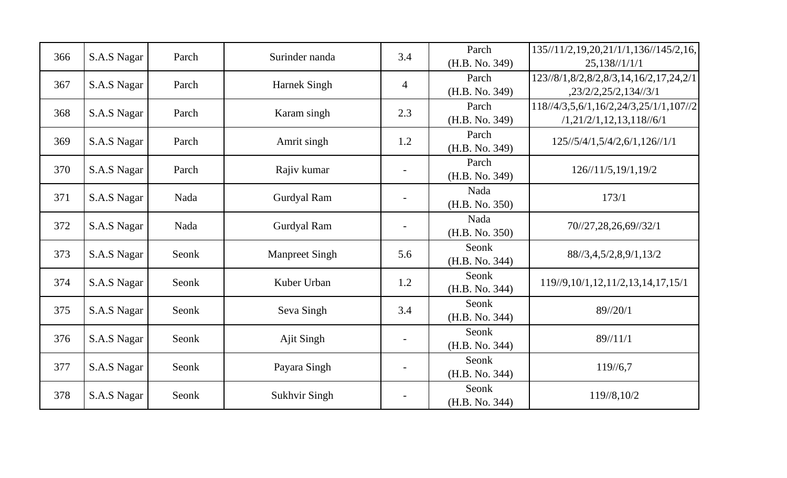| 366 | S.A.S Nagar | Parch | Surinder nanda        | 3.4            | Parch<br>(H.B. No. 349) | 135//11/2,19,20,21/1/1,136//145/2,16,<br>25,138/1/1/1             |
|-----|-------------|-------|-----------------------|----------------|-------------------------|-------------------------------------------------------------------|
| 367 | S.A.S Nagar | Parch | Harnek Singh          | $\overline{4}$ | Parch<br>(H.B. No. 349) | 123//8/1,8/2,8/2,8/3,14,16/2,17,24,2/1<br>,23/2/2,25/2,134/3/1    |
| 368 | S.A.S Nagar | Parch | Karam singh           | 2.3            | Parch<br>(H.B. No. 349) | 118//4/3,5,6/1,16/2,24/3,25/1/1,107//2<br>/1,21/2/1,12,13,118/6/1 |
| 369 | S.A.S Nagar | Parch | Amrit singh           | 1.2            | Parch<br>(H.B. No. 349) | 125//5/4/1,5/4/2,6/1,126//1/1                                     |
| 370 | S.A.S Nagar | Parch | Rajiv kumar           |                | Parch<br>(H.B. No. 349) | 126/11/5, 19/1, 19/2                                              |
| 371 | S.A.S Nagar | Nada  | Gurdyal Ram           |                | Nada<br>(H.B. No. 350)  | 173/1                                                             |
| 372 | S.A.S Nagar | Nada  | Gurdyal Ram           | $\blacksquare$ | Nada<br>(H.B. No. 350)  | 70//27,28,26,69//32/1                                             |
| 373 | S.A.S Nagar | Seonk | <b>Manpreet Singh</b> | 5.6            | Seonk<br>(H.B. No. 344) | 88//3,4,5/2,8,9/1,13/2                                            |
| 374 | S.A.S Nagar | Seonk | Kuber Urban           | 1.2            | Seonk<br>(H.B. No. 344) | 119//9, 10/1, 12, 11/2, 13, 14, 17, 15/1                          |
| 375 | S.A.S Nagar | Seonk | Seva Singh            | 3.4            | Seonk<br>(H.B. No. 344) | 89//20/1                                                          |
| 376 | S.A.S Nagar | Seonk | Ajit Singh            |                | Seonk<br>(H.B. No. 344) | 89/11/1                                                           |
| 377 | S.A.S Nagar | Seonk | Payara Singh          |                | Seonk<br>(H.B. No. 344) | 119/6,7                                                           |
| 378 | S.A.S Nagar | Seonk | <b>Sukhvir Singh</b>  |                | Seonk<br>(H.B. No. 344) | 119//8,10/2                                                       |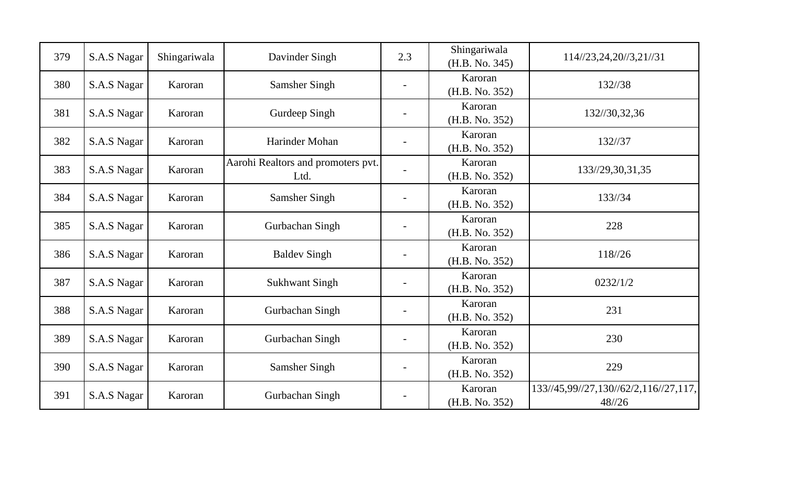| 379 | S.A.S Nagar | Shingariwala | Davinder Singh                             | 2.3                          | Shingariwala<br>(H.B. No. 345) | 114//23,24,20//3,21//31                        |
|-----|-------------|--------------|--------------------------------------------|------------------------------|--------------------------------|------------------------------------------------|
| 380 | S.A.S Nagar | Karoran      | Samsher Singh                              |                              | Karoran<br>(H.B. No. 352)      | 132//38                                        |
| 381 | S.A.S Nagar | Karoran      | Gurdeep Singh                              | $\qquad \qquad \blacksquare$ | Karoran<br>(H.B. No. 352)      | 132//30,32,36                                  |
| 382 | S.A.S Nagar | Karoran      | Harinder Mohan                             |                              | Karoran<br>(H.B. No. 352)      | 132//37                                        |
| 383 | S.A.S Nagar | Karoran      | Aarohi Realtors and promoters pvt.<br>Ltd. |                              | Karoran<br>(H.B. No. 352)      | 133//29,30,31,35                               |
| 384 | S.A.S Nagar | Karoran      | <b>Samsher Singh</b>                       |                              | Karoran<br>(H.B. No. 352)      | 133//34                                        |
| 385 | S.A.S Nagar | Karoran      | Gurbachan Singh                            | $\qquad \qquad \blacksquare$ | Karoran<br>(H.B. No. 352)      | 228                                            |
| 386 | S.A.S Nagar | Karoran      | <b>Baldev Singh</b>                        | $\overline{\phantom{a}}$     | Karoran<br>(H.B. No. 352)      | 118//26                                        |
| 387 | S.A.S Nagar | Karoran      | <b>Sukhwant Singh</b>                      |                              | Karoran<br>(H.B. No. 352)      | 0232/1/2                                       |
| 388 | S.A.S Nagar | Karoran      | Gurbachan Singh                            |                              | Karoran<br>(H.B. No. 352)      | 231                                            |
| 389 | S.A.S Nagar | Karoran      | Gurbachan Singh                            | $\overline{\phantom{0}}$     | Karoran<br>(H.B. No. 352)      | 230                                            |
| 390 | S.A.S Nagar | Karoran      | <b>Samsher Singh</b>                       | $\overline{\phantom{a}}$     | Karoran<br>(H.B. No. 352)      | 229                                            |
| 391 | S.A.S Nagar | Karoran      | Gurbachan Singh                            |                              | Karoran<br>(H.B. No. 352)      | 133//45,99//27,130//62/2,116//27,117,<br>48/26 |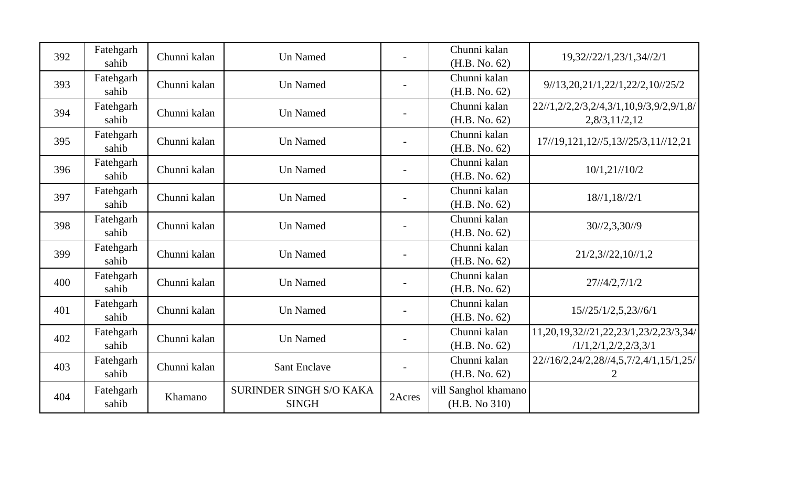| 392 | Fatehgarh<br>sahib | Chunni kalan | <b>Un Named</b>                                |        | Chunni kalan<br>(H.B. No. 62)         | 19,32//22/1,23/1,34//2/1                                          |
|-----|--------------------|--------------|------------------------------------------------|--------|---------------------------------------|-------------------------------------------------------------------|
| 393 | Fatehgarh<br>sahib | Chunni kalan | <b>Un Named</b>                                |        | Chunni kalan<br>(H.B. No. 62)         | 9/13,20,21/1,22/1,22/2,10/25/2                                    |
| 394 | Fatehgarh<br>sahib | Chunni kalan | <b>Un Named</b>                                |        | Chunni kalan<br>(H.B. No. 62)         | 22//1,2/2,2/3,2/4,3/1,10,9/3,9/2,9/1,8/<br>2,8/3,11/2,12          |
| 395 | Fatehgarh<br>sahib | Chunni kalan | <b>Un Named</b>                                |        | Chunni kalan<br>(H.B. No. 62)         | 17//19,121,12//5,13//25/3,11//12,21                               |
| 396 | Fatehgarh<br>sahib | Chunni kalan | <b>Un Named</b>                                |        | Chunni kalan<br>(H.B. No. 62)         | 10/1, 21//10/2                                                    |
| 397 | Fatehgarh<br>sahib | Chunni kalan | <b>Un Named</b>                                |        | Chunni kalan<br>(H.B. No. 62)         | 18/1, 18/2/1                                                      |
| 398 | Fatehgarh<br>sahib | Chunni kalan | <b>Un Named</b>                                |        | Chunni kalan<br>(H.B. No. 62)         | $30\frac{1}{2}$ , $3,30\frac{1}{9}$                               |
| 399 | Fatehgarh<br>sahib | Chunni kalan | <b>Un Named</b>                                |        | Chunni kalan<br>(H.B. No. 62)         | 21/2,3/22,10/1,2                                                  |
| 400 | Fatehgarh<br>sahib | Chunni kalan | Un Named                                       |        | Chunni kalan<br>(H.B. No. 62)         | 27/4/2,7/1/2                                                      |
| 401 | Fatehgarh<br>sahib | Chunni kalan | <b>Un Named</b>                                |        | Chunni kalan<br>(H.B. No. 62)         | 15//25/1/2,5,23//6/1                                              |
| 402 | Fatehgarh<br>sahib | Chunni kalan | <b>Un Named</b>                                |        | Chunni kalan<br>(H.B. No. 62)         | 11,20,19,32//21,22,23/1,23/2,23/3,34/<br>/1/1, 2/1, 2/2, 2/3, 3/1 |
| 403 | Fatehgarh<br>sahib | Chunni kalan | <b>Sant Enclave</b>                            |        | Chunni kalan<br>(H.B. No. 62)         | 22//16/2,24/2,28//4,5,7/2,4/1,15/1,25/                            |
| 404 | Fatehgarh<br>sahib | Khamano      | <b>SURINDER SINGH S/O KAKA</b><br><b>SINGH</b> | 2Acres | vill Sanghol khamano<br>(H.B. No 310) |                                                                   |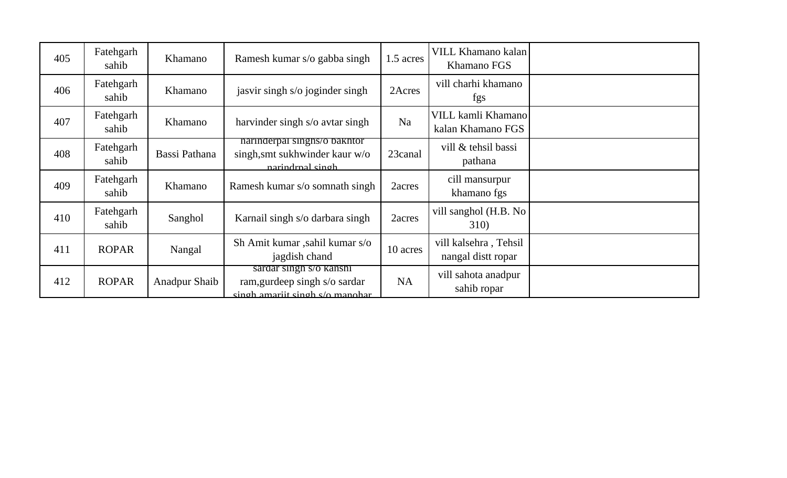| 405 | Fatehgarh<br>sahib | Khamano              | Ramesh kumar s/o gabba singh                                                                | 1.5 acres      | VILL Khamano kalan<br>Khamano FGS           |  |
|-----|--------------------|----------------------|---------------------------------------------------------------------------------------------|----------------|---------------------------------------------|--|
| 406 | Fatehgarh<br>sahib | Khamano              | jasvir singh s/o joginder singh                                                             | 2Acres         | vill charhi khamano<br>fgs                  |  |
| 407 | Fatehgarh<br>sahib | Khamano              | harvinder singh s/o avtar singh                                                             | N <sub>a</sub> | VILL kamli Khamano<br>kalan Khamano FGS     |  |
| 408 | Fatehgarh<br>sahib | Bassi Pathana        | narınderpal singhs/o bakhtor<br>singh, smt sukhwinder kaur w/o<br>narindrnal singh          | 23canal        | vill & tehsil bassi<br>pathana              |  |
| 409 | Fatehgarh<br>sahib | Khamano              | Ramesh kumar s/o somnath singh                                                              | 2acres         | cill mansurpur<br>khamano fgs               |  |
| 410 | Fatehgarh<br>sahib | Sanghol              | Karnail singh s/o darbara singh                                                             | 2acres         | vill sanghol (H.B. No<br><b>310</b> )       |  |
| 411 | <b>ROPAR</b>       | Nangal               | Sh Amit kumar ,sahil kumar s/o<br>jagdish chand                                             | 10 acres       | vill kalsehra, Tehsil<br>nangal distt ropar |  |
| 412 | <b>ROPAR</b>       | <b>Anadpur Shaib</b> | sardar singh s/o kanshi<br>ram, gurdeep singh s/o sardar<br>singh amariit singh s/o manohar | <b>NA</b>      | vill sahota anadpur<br>sahib ropar          |  |